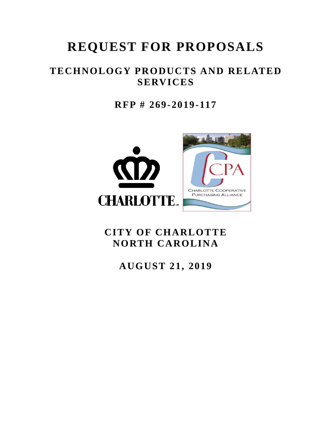# **REQUEST FOR PROPOSALS**

## **TECHNOLOGY PRODUCTS AND RELATED SERVICES**

**RFP # 269-2019-117**



# **CITY OF CHARLOTTE NORTH CAROLINA**

**AUGUST 21, 2019**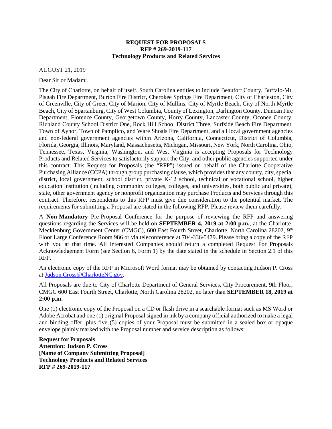#### **REQUEST FOR PROPOSALS RFP # 269-2019-117 Technology Products and Related Services**

AUGUST 21, 2019

Dear Sir or Madam:

The City of Charlotte, on behalf of itself, South Carolina entities to include Beaufort County, Buffalo-Mt. Pisgah Fire Department, Burton Fire District, Cherokee Springs Fire Department, City of Charleston, City of Greenville, City of Greer, City of Marion, City of Mullins, City of Myrtle Beach, City of North Myrtle Beach, City of Spartanburg, City of West Columbia, County of Lexington, Darlington County, Duncan Fire Department, Florence County, Georgetown County, Horry County, Lancaster County, Oconee County, Richland County School District One, Rock Hill School District Three, Surfside Beach Fire Department, Town of Aynor, Town of Pamplico, and Ware Shoals Fire Department, and all local government agencies and non-federal government agencies within Arizona, California, Connecticut, District of Columbia, Florida, Georgia, Illinois, Maryland, Massachusetts, Michigan, Missouri, New York, North Carolina, Ohio, Tennessee, Texas, Virginia, Washington, and West Virginia is accepting Proposals for Technology Products and Related Services to satisfactorily support the City, and other public agencies supported under this contract. This Request for Proposals (the "RFP") issued on behalf of the Charlotte Cooperative Purchasing Alliance (CCPA) through group purchasing clause, which provides that any county, city, special district, local government, school district, private K-12 school, technical or vocational school, higher education institution (including community colleges, colleges, and universities, both public and private), state, other government agency or nonprofit organization may purchase Products and Services through this contract. Therefore, respondents to this RFP must give due consideration to the potential market. The requirements for submitting a Proposal are stated in the following RFP. Please review them carefully.

A **Non-Mandatory** Pre-Proposal Conference for the purpose of reviewing the RFP and answering questions regarding the Services will be held on **SEPTEMBER 4, 2019 at 2:00 p.m.**, at the Charlotte-Mecklenburg Government Center (CMGC), 600 East Fourth Street, Charlotte, North Carolina 28202, 9<sup>th</sup> Floor Large Conference Room 986 or via teleconference at 704-336-5479. Please bring a copy of the RFP with you at that time. All interested Companies should return a completed Request For Proposals Acknowledgement Form (see Section 6, Form 1) by the date stated in the schedule in Section 2.1 of this RFP.

An electronic copy of the RFP in Microsoft Word format may be obtained by contacting Judson P. Cross at [Judson.Cross@CharlotteNC.gov.](mailto:Judson.Cross@CharlotteNC.gov)

All Proposals are due to City of Charlotte Department of General Services, City Procurement, 9th Floor, CMGC 600 East Fourth Street, Charlotte, North Carolina 28202, no later than **SEPTEMBER 18, 2019 at 2:00 p.m.**

One (1) electronic copy of the Proposal on a CD or flash drive in a searchable format such as MS Word or Adobe Acrobat and one (1) original Proposal signed in ink by a company official authorized to make a legal and binding offer, plus five (5) copies of your Proposal must be submitted in a sealed box or opaque envelope plainly marked with the Proposal number and service description as follows:

**Request for Proposals Attention: Judson P. Cross [Name of Company Submitting Proposal] Technology Products and Related Services RFP # 269-2019-117**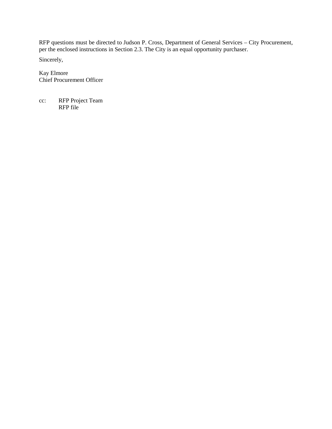RFP questions must be directed to Judson P. Cross, Department of General Services – City Procurement, per the enclosed instructions in Section 2.3. The City is an equal opportunity purchaser.

Sincerely,

Kay Elmore Chief Procurement Officer

cc: RFP Project Team RFP file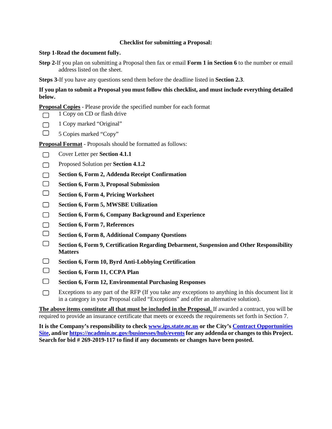#### **Checklist for submitting a Proposal:**

#### **Step 1-Read the document fully.**

**Step 2-**If you plan on submitting a Proposal then fax or email **Form 1 in Section 6** to the number or email address listed on the sheet.

**Steps 3-**If you have any questions send them before the deadline listed in **Section 2.3**.

**If you plan to submit a Proposal you must follow this checklist, and must include everything detailed below.**

**Proposal Copies** - Please provide the specified number for each format

1 Copy on CD or flash drive  $\Box$ 

- $\Box$ 1 Copy marked "Original"
- $\Box$ 5 Copies marked "Copy"

**Proposal Format** - Proposals should be formatted as follows:

- $\Box$ Cover Letter per **Section 4.1.1**
- Proposed Solution per **Section 4.1.2**  $\Box$
- **Section 6, Form 2, Addenda Receipt Confirmation**  $\Box$
- $\Box$ **Section 6, Form 3, Proposal Submission**
- $\Box$ **Section 6, Form 4, Pricing Worksheet**
- $\Box$ **Section 6, Form 5, MWSBE Utilization**
- $\Box$ **Section 6, Form 6, Company Background and Experience**
- $\Box$ **Section 6, Form 7, References**
- $\Box$ **Section 6, Form 8, Additional Company Questions**
- $\Box$ **Section 6, Form 9, Certification Regarding Debarment, Suspension and Other Responsibility Matters**
- $\Box$ **Section 6, Form 10, Byrd Anti-Lobbying Certification**
- $\Box$ **Section 6, Form 11, CCPA Plan**
- $\Box$ **Section 6, Form 12, Environmental Purchasing Responses**
- Exceptions to any part of the RFP (If you take any exceptions to anything in this document list it  $\Box$ in a category in your Proposal called "Exceptions" and offer an alternative solution).

**The above items constitute all that must be included in the Proposal.** If awarded a contract, you will be required to provide an insurance certificate that meets or exceeds the requirements set forth in Section 7.

**It is the Company's responsibility to check [www.ips.state.nc.us](http://www.ips.state.nc.us/) or the City's [Contract Opportunities](http://charlottenc.gov/DoingBusiness/Pages/ContractOpportunities.aspx)  [Site,](http://charlottenc.gov/DoingBusiness/Pages/ContractOpportunities.aspx) and/or [https://ncadmin.nc.gov/businesses/hub/eventsf](https://ncadmin.nc.gov/businesses/hub/events)or any addenda or changes to this Project. Search for bid # 269-2019-117 to find if any documents or changes have been posted.**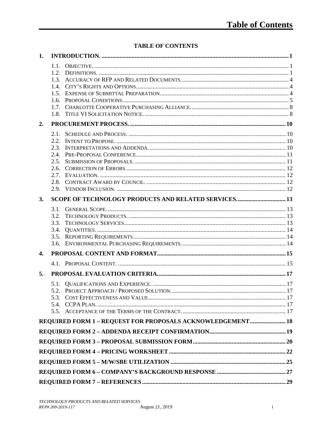## **TABLE OF CONTENTS**

| 1. |                                              |                                                            |  |
|----|----------------------------------------------|------------------------------------------------------------|--|
|    | 1.1.<br>$12^{-}$<br>1.3.<br>1.5.<br>18       |                                                            |  |
| 2. |                                              |                                                            |  |
|    | 2.2.<br>2.3.<br>2.4.<br>2.5.<br>2.7.<br>2.8. |                                                            |  |
| 3. |                                              | SCOPE OF TECHNOLOGY PRODUCTS AND RELATED SERVICES 13       |  |
|    | 3.1.<br>3.2.<br>3.3.<br>3.4.                 |                                                            |  |
| 4. |                                              |                                                            |  |
|    |                                              |                                                            |  |
| 5. |                                              |                                                            |  |
|    |                                              | REQUIRED FORM 1 - REQUEST FOR PROPOSALS ACKNOWLEDGEMENT 18 |  |
|    |                                              |                                                            |  |
|    |                                              |                                                            |  |
|    |                                              |                                                            |  |
|    |                                              |                                                            |  |
|    |                                              |                                                            |  |
|    |                                              |                                                            |  |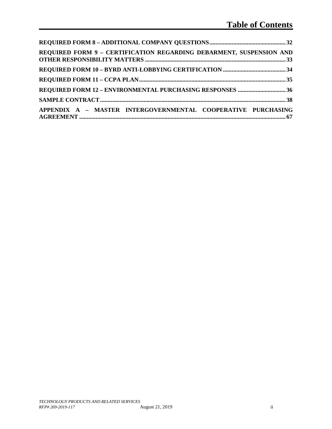| REQUIRED FORM 9 - CERTIFICATION REGARDING DEBARMENT, SUSPENSION AND |  |
|---------------------------------------------------------------------|--|
|                                                                     |  |
|                                                                     |  |
|                                                                     |  |
|                                                                     |  |
| APPENDIX A - MASTER INTERGOVERNMENTAL COOPERATIVE PURCHASING        |  |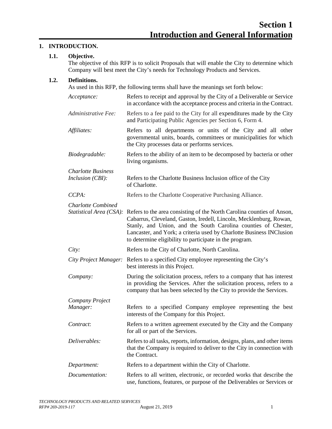#### <span id="page-6-1"></span><span id="page-6-0"></span>**1. INTRODUCTION.**

#### **1.1. Objective.**

The objective of this RFP is to solicit Proposals that will enable the City to determine which Company will best meet the City's needs for Technology Products and Services.

#### <span id="page-6-2"></span>**1.2. Definitions.**

As used in this RFP, the following terms shall have the meanings set forth below:

| Acceptance:                                          | Refers to receipt and approval by the City of a Deliverable or Service<br>in accordance with the acceptance process and criteria in the Contract.                                                                                                                                                                                                 |
|------------------------------------------------------|---------------------------------------------------------------------------------------------------------------------------------------------------------------------------------------------------------------------------------------------------------------------------------------------------------------------------------------------------|
| Administrative Fee:                                  | Refers to a fee paid to the City for all expenditures made by the City<br>and Participating Public Agencies per Section 6, Form 4.                                                                                                                                                                                                                |
| Affiliates:                                          | Refers to all departments or units of the City and all other<br>governmental units, boards, committees or municipalities for which<br>the City processes data or performs services.                                                                                                                                                               |
| Biodegradable:                                       | Refers to the ability of an item to be decomposed by bacteria or other<br>living organisms.                                                                                                                                                                                                                                                       |
| <b>Charlotte Business</b><br>Inclusion (CBI):        | Refers to the Charlotte Business Inclusion office of the City<br>of Charlotte.                                                                                                                                                                                                                                                                    |
| CCPA:                                                | Refers to the Charlotte Cooperative Purchasing Alliance.                                                                                                                                                                                                                                                                                          |
| <b>Charlotte Combined</b><br>Statistical Area (CSA): | Refers to the area consisting of the North Carolina counties of Anson,<br>Cabarrus, Cleveland, Gaston, Iredell, Lincoln, Mecklenburg, Rowan,<br>Stanly, and Union, and the South Carolina counties of Chester,<br>Lancaster, and York; a criteria used by Charlotte Business INClusion<br>to determine eligibility to participate in the program. |
| City:                                                | Refers to the City of Charlotte, North Carolina.                                                                                                                                                                                                                                                                                                  |
| City Project Manager:                                | Refers to a specified City employee representing the City's<br>best interests in this Project.                                                                                                                                                                                                                                                    |
| Company:                                             | During the solicitation process, refers to a company that has interest<br>in providing the Services. After the solicitation process, refers to a<br>company that has been selected by the City to provide the Services.                                                                                                                           |
| Company Project                                      |                                                                                                                                                                                                                                                                                                                                                   |
| Manager:                                             | Refers to a specified Company employee representing the best<br>interests of the Company for this Project.                                                                                                                                                                                                                                        |
| Contract:                                            | Refers to a written agreement executed by the City and the Company<br>for all or part of the Services.                                                                                                                                                                                                                                            |
| Deliverables:                                        | Refers to all tasks, reports, information, designs, plans, and other items<br>that the Company is required to deliver to the City in connection with<br>the Contract.                                                                                                                                                                             |
| Department:                                          | Refers to a department within the City of Charlotte.                                                                                                                                                                                                                                                                                              |
| Documentation:                                       | Refers to all written, electronic, or recorded works that describe the<br>use, functions, features, or purpose of the Deliverables or Services or                                                                                                                                                                                                 |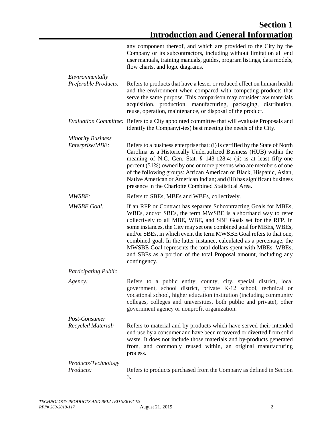|                                         | any component thereof, and which are provided to the City by the<br>Company or its subcontractors, including without limitation all end<br>user manuals, training manuals, guides, program listings, data models,<br>flow charts, and logic diagrams.                                                                                                                                                                                                                                                                                                                               |
|-----------------------------------------|-------------------------------------------------------------------------------------------------------------------------------------------------------------------------------------------------------------------------------------------------------------------------------------------------------------------------------------------------------------------------------------------------------------------------------------------------------------------------------------------------------------------------------------------------------------------------------------|
| Environmentally<br>Preferable Products: | Refers to products that have a lesser or reduced effect on human health<br>and the environment when compared with competing products that<br>serve the same purpose. This comparison may consider raw materials<br>acquisition, production, manufacturing, packaging, distribution,<br>reuse, operation, maintenance, or disposal of the product.                                                                                                                                                                                                                                   |
|                                         | Evaluation Committee: Refers to a City appointed committee that will evaluate Proposals and<br>identify the Company(-ies) best meeting the needs of the City.                                                                                                                                                                                                                                                                                                                                                                                                                       |
| <b>Minority Business</b>                |                                                                                                                                                                                                                                                                                                                                                                                                                                                                                                                                                                                     |
| Enterprise/MBE:                         | Refers to a business enterprise that: (i) is certified by the State of North<br>Carolina as a Historically Underutilized Business (HUB) within the<br>meaning of N.C. Gen. Stat. § 143-128.4; (ii) is at least fifty-one<br>percent (51%) owned by one or more persons who are members of one<br>of the following groups: African American or Black, Hispanic, Asian,<br>Native American or American Indian; and (iii) has significant business<br>presence in the Charlotte Combined Statistical Area.                                                                             |
| <i>MWSBE:</i>                           | Refers to SBEs, MBEs and WBEs, collectively.                                                                                                                                                                                                                                                                                                                                                                                                                                                                                                                                        |
| <b>MWSBE Goal:</b>                      | If an RFP or Contract has separate Subcontracting Goals for MBEs,<br>WBEs, and/or SBEs, the term MWSBE is a shorthand way to refer<br>collectively to all MBE, WBE, and SBE Goals set for the RFP. In<br>some instances, the City may set one combined goal for MBEs, WBEs,<br>and/or SBEs, in which event the term MWSBE Goal refers to that one,<br>combined goal. In the latter instance, calculated as a percentage, the<br>MWSBE Goal represents the total dollars spent with MBEs, WBEs,<br>and SBEs as a portion of the total Proposal amount, including any<br>contingency. |
| <b>Participating Public</b>             |                                                                                                                                                                                                                                                                                                                                                                                                                                                                                                                                                                                     |
| Agency:                                 | Refers to a public entity, county, city, special district, local<br>government, school district, private K-12 school, technical or<br>vocational school, higher education institution (including community<br>colleges, colleges and universities, both public and private), other<br>government agency or nonprofit organization.                                                                                                                                                                                                                                                  |
| Post-Consumer                           |                                                                                                                                                                                                                                                                                                                                                                                                                                                                                                                                                                                     |
| Recycled Material:                      | Refers to material and by-products which have served their intended<br>end-use by a consumer and have been recovered or diverted from solid<br>waste. It does not include those materials and by-products generated<br>from, and commonly reused within, an original manufacturing<br>process.                                                                                                                                                                                                                                                                                      |
| Products/Technology                     |                                                                                                                                                                                                                                                                                                                                                                                                                                                                                                                                                                                     |
| Products:                               | Refers to products purchased from the Company as defined in Section<br>3.                                                                                                                                                                                                                                                                                                                                                                                                                                                                                                           |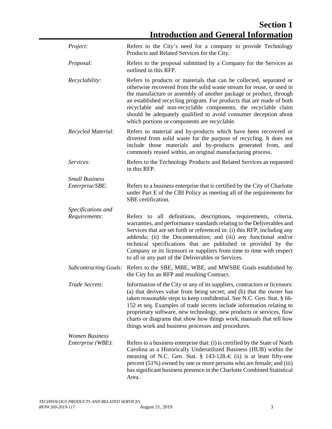**Section 1 Introduction and General Information**

| Project:                            | Refers to the City's need for a company to provide Technology<br>Products and Related Services for the City.                                                                                                                                                                                                                                                                                                                                                                                               |
|-------------------------------------|------------------------------------------------------------------------------------------------------------------------------------------------------------------------------------------------------------------------------------------------------------------------------------------------------------------------------------------------------------------------------------------------------------------------------------------------------------------------------------------------------------|
| Proposal:                           | Refers to the proposal submitted by a Company for the Services as<br>outlined in this RFP.                                                                                                                                                                                                                                                                                                                                                                                                                 |
| Recyclability:                      | Refers to products or materials that can be collected, separated or<br>otherwise recovered from the solid waste stream for reuse, or used in<br>the manufacture or assembly of another package or product, through<br>an established recycling program. For products that are made of both<br>recyclable and non-recyclable components, the recyclable claim<br>should be adequately qualified to avoid consumer deception about<br>which portions or components are recyclable.                           |
| Recycled Material:                  | Refers to material and by-products which have been recovered or<br>diverted from solid waste for the purpose of recycling. It does not<br>include those materials and by-products generated from,<br>and<br>commonly reused within, an original manufacturing process.                                                                                                                                                                                                                                     |
| Services:                           | Refers to the Technology Products and Related Services as requested<br>in this RFP.                                                                                                                                                                                                                                                                                                                                                                                                                        |
| <b>Small Business</b>               |                                                                                                                                                                                                                                                                                                                                                                                                                                                                                                            |
| Enterprise/SBE:                     | Refers to a business enterprise that is certified by the City of Charlotte<br>under Part E of the CBI Policy as meeting all of the requirements for<br>SBE certification.                                                                                                                                                                                                                                                                                                                                  |
| Specifications and<br>Requirements: | Refers to all definitions, descriptions, requirements, criteria,<br>warranties, and performance standards relating to the Deliverables and<br>Services that are set forth or referenced in: (i) this RFP, including any<br>addenda; (ii) the Documentation; and (iii) any functional and/or<br>technical specifications that are published or provided by the<br>Company or its licensors or suppliers from time to time with respect<br>to all or any part of the Deliverables or Services.               |
| <b>Subcontracting Goals:</b>        | Refers to the SBE, MBE, WBE, and MWSBE Goals established by<br>the City for an RFP and resulting Contract.                                                                                                                                                                                                                                                                                                                                                                                                 |
| Trade Secrets:                      | Information of the City or any of its suppliers, contractors or licensors:<br>(a) that derives value from being secret; and (b) that the owner has<br>taken reasonable steps to keep confidential. See N.C. Gen. Stat. § 66-<br>152 et seq. Examples of trade secrets include information relating to<br>proprietary software, new technology, new products or services, flow<br>charts or diagrams that show how things work, manuals that tell how<br>things work and business processes and procedures. |
| <b>Women Business</b>               |                                                                                                                                                                                                                                                                                                                                                                                                                                                                                                            |
| Enterprise (WBE):                   | Refers to a business enterprise that: (i) is certified by the State of North<br>Carolina as a Historically Underutilized Business (HUB) within the<br>meaning of N.C. Gen. Stat. § 143-128.4; (ii) is at least fifty-one<br>percent (51%) owned by one or more persons who are female; and (iii)<br>has significant business presence in the Charlotte Combined Statistical<br>Area.                                                                                                                       |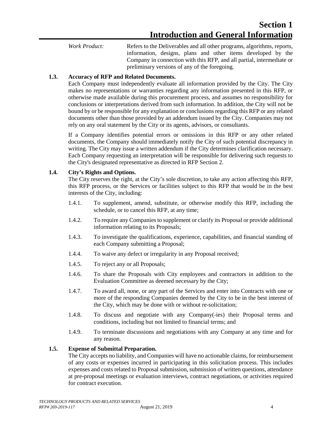*Work Product:* Refers to the Deliverables and all other programs, algorithms, reports, information, designs, plans and other items developed by the Company in connection with this RFP, and all partial, intermediate or preliminary versions of any of the foregoing.

#### <span id="page-9-0"></span>**1.3. Accuracy of RFP and Related Documents.**

Each Company must independently evaluate all information provided by the City. The City makes no representations or warranties regarding any information presented in this RFP, or otherwise made available during this procurement process, and assumes no responsibility for conclusions or interpretations derived from such information. In addition, the City will not be bound by or be responsible for any explanation or conclusions regarding this RFP or any related documents other than those provided by an addendum issued by the City. Companies may not rely on any oral statement by the City or its agents, advisors, or consultants.

If a Company identifies potential errors or omissions in this RFP or any other related documents, the Company should immediately notify the City of such potential discrepancy in writing. The City may issue a written addendum if the City determines clarification necessary. Each Company requesting an interpretation will be responsible for delivering such requests to the City's designated representative as directed in RFP Section 2.

#### <span id="page-9-1"></span>**1.4. City's Rights and Options.**

The City reserves the right, at the City's sole discretion, to take any action affecting this RFP, this RFP process, or the Services or facilities subject to this RFP that would be in the best interests of the City, including:

- 1.4.1. To supplement, amend, substitute, or otherwise modify this RFP, including the schedule, or to cancel this RFP, at any time;
- 1.4.2. To require any Companiesto supplement or clarify its Proposal or provide additional information relating to its Proposals;
- 1.4.3. To investigate the qualifications, experience, capabilities, and financial standing of each Company submitting a Proposal;
- 1.4.4. To waive any defect or irregularity in any Proposal received;
- 1.4.5. To reject any or all Proposals;
- 1.4.6. To share the Proposals with City employees and contractors in addition to the Evaluation Committee as deemed necessary by the City;
- 1.4.7. To award all, none, or any part of the Services and enter into Contracts with one or more of the responding Companies deemed by the City to be in the best interest of the City, which may be done with or without re-solicitation;
- 1.4.8. To discuss and negotiate with any Company(-ies) their Proposal terms and conditions, including but not limited to financial terms; and
- 1.4.9. To terminate discussions and negotiations with any Company at any time and for any reason.

#### <span id="page-9-2"></span>**1.5. Expense of Submittal Preparation.**

The City accepts no liability, and Companies will have no actionable claims, for reimbursement of any costs or expenses incurred in participating in this solicitation process. This includes expenses and costs related to Proposal submission, submission of written questions, attendance at pre-proposal meetings or evaluation interviews, contract negotiations, or activities required for contract execution.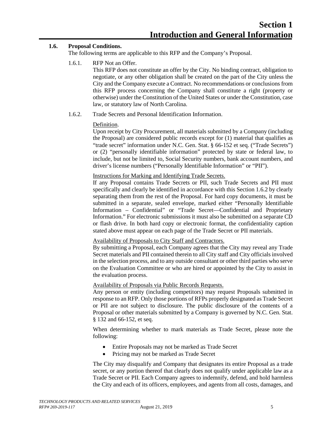#### <span id="page-10-0"></span>**1.6. Proposal Conditions.**

The following terms are applicable to this RFP and the Company's Proposal.

1.6.1. RFP Not an Offer.

This RFP does not constitute an offer by the City. No binding contract, obligation to negotiate, or any other obligation shall be created on the part of the City unless the City and the Company execute a Contract. No recommendations or conclusions from this RFP process concerning the Company shall constitute a right (property or otherwise) under the Constitution of the United States or under the Constitution, case law, or statutory law of North Carolina.

1.6.2. Trade Secrets and Personal Identification Information.

#### Definition.

Upon receipt by City Procurement, all materials submitted by a Company (including the Proposal) are considered public records except for (1) material that qualifies as "trade secret" information under N.C. Gen. Stat. § 66-152 et seq. ("Trade Secrets") or (2) "personally identifiable information" protected by state or federal law, to include, but not be limited to, Social Security numbers, bank account numbers, and driver's license numbers ("Personally Identifiable Information" or "PII").

#### Instructions for Marking and Identifying Trade Secrets.

If any Proposal contains Trade Secrets or PII, such Trade Secrets and PII must specifically and clearly be identified in accordance with this Section 1.6.2 by clearly separating them from the rest of the Proposal. For hard copy documents, it must be submitted in a separate, sealed envelope, marked either "Personally Identifiable Information – Confidential" or "Trade Secret—Confidential and Proprietary Information." For electronic submissions it must also be submitted on a separate CD or flash drive. In both hard copy or electronic format, the confidentiality caption stated above must appear on each page of the Trade Secret or PII materials.

#### Availability of Proposals to City Staff and Contractors.

By submitting a Proposal, each Company agrees that the City may reveal any Trade Secret materials and PII contained therein to all City staff and City officials involved in the selection process, and to any outside consultant or other third parties who serve on the Evaluation Committee or who are hired or appointed by the City to assist in the evaluation process.

#### Availability of Proposals via Public Records Requests.

Any person or entity (including competitors) may request Proposals submitted in response to an RFP. Only those portions of RFPs properly designated as Trade Secret or PII are not subject to disclosure. The public disclosure of the contents of a Proposal or other materials submitted by a Company is governed by N.C. Gen. Stat. § 132 and 66-152, et seq.

When determining whether to mark materials as Trade Secret, please note the following:

- Entire Proposals may not be marked as Trade Secret
- Pricing may not be marked as Trade Secret

The City may disqualify and Company that designates its entire Proposal as a trade secret, or any portion thereof that clearly does not qualify under applicable law as a Trade Secret or PII. Each Company agrees to indemnify, defend, and hold harmless the City and each of its officers, employees, and agents from all costs, damages, and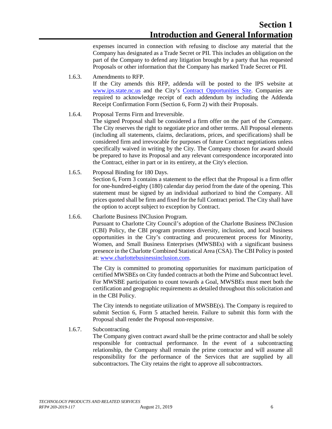expenses incurred in connection with refusing to disclose any material that the Company has designated as a Trade Secret or PII. This includes an obligation on the part of the Company to defend any litigation brought by a party that has requested Proposals or other information that the Company has marked Trade Secret or PII.

1.6.3. Amendments to RFP.

If the City amends this RFP, addenda will be posted to the IPS website at [www.ips.state.nc.us](http://www.ips.state.nc.us/) and the City's [Contract Opportunities Site.](http://charlottenc.gov/DoingBusiness/Pages/ContractOpportunities.aspx) Companies are required to acknowledge receipt of each addendum by including the Addenda Receipt Confirmation Form (Section 6, Form 2) with their Proposals.

1.6.4. Proposal Terms Firm and Irreversible.

The signed Proposal shall be considered a firm offer on the part of the Company. The City reserves the right to negotiate price and other terms. All Proposal elements (including all statements, claims, declarations, prices, and specifications) shall be considered firm and irrevocable for purposes of future Contract negotiations unless specifically waived in writing by the City. The Company chosen for award should be prepared to have its Proposal and any relevant correspondence incorporated into the Contract, either in part or in its entirety, at the City's election.

1.6.5. Proposal Binding for 180 Days.

Section 6, Form 3 contains a statement to the effect that the Proposal is a firm offer for one-hundred-eighty (180) calendar day period from the date of the opening. This statement must be signed by an individual authorized to bind the Company. All prices quoted shall be firm and fixed for the full Contract period. The City shall have the option to accept subject to exception by Contract.

#### 1.6.6. Charlotte Business INClusion Program.

Pursuant to Charlotte City Council's adoption of the Charlotte Business INClusion (CBI) Policy, the CBI program promotes diversity, inclusion, and local business opportunities in the City's contracting and procurement process for Minority, Women, and Small Business Enterprises (MWSBEs) with a significant business presence in the Charlotte Combined Statistical Area (CSA). The CBI Policy is posted at: [www.charlottebusinessinclusion.com.](http://www.charlottebusinessinclusion.com/)

The City is committed to promoting opportunities for maximum participation of certified MWSBEs on City funded contracts at both the Prime and Subcontract level. For MWSBE participation to count towards a Goal, MWSBEs must meet both the certification and geographic requirements as detailed throughout this solicitation and in the CBI Policy.

The City intends to negotiate utilization of MWSBE(s). The Company is required to submit Section 6, Form 5 attached herein. Failure to submit this form with the Proposal shall render the Proposal non-responsive.

1.6.7. Subcontracting.

The Company given contract award shall be the prime contractor and shall be solely responsible for contractual performance. In the event of a subcontracting relationship, the Company shall remain the prime contractor and will assume all responsibility for the performance of the Services that are supplied by all subcontractors. The City retains the right to approve all subcontractors.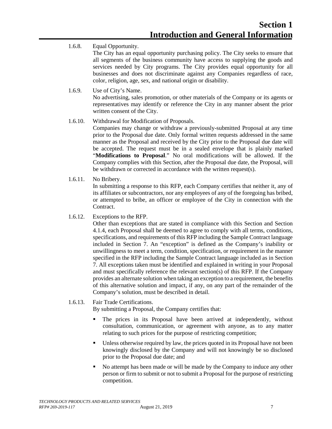1.6.8. Equal Opportunity.

The City has an equal opportunity purchasing policy. The City seeks to ensure that all segments of the business community have access to supplying the goods and services needed by City programs. The City provides equal opportunity for all businesses and does not discriminate against any Companies regardless of race, color, religion, age, sex, and national origin or disability.

1.6.9. Use of City's Name.

No advertising, sales promotion, or other materials of the Company or its agents or representatives may identify or reference the City in any manner absent the prior written consent of the City.

- 1.6.10. Withdrawal for Modification of Proposals. Companies may change or withdraw a previously-submitted Proposal at any time prior to the Proposal due date. Only formal written requests addressed in the same manner as the Proposal and received by the City prior to the Proposal due date will be accepted. The request must be in a sealed envelope that is plainly marked "**Modifications to Proposal**." No oral modifications will be allowed. If the Company complies with this Section, after the Proposal due date, the Proposal, will be withdrawn or corrected in accordance with the written request(s).
- 1.6.11. No Bribery.

In submitting a response to this RFP, each Company certifies that neither it, any of its affiliates or subcontractor*s*, nor any employees of any of the foregoing has bribed, or attempted to bribe, an officer or employee of the City in connection with the Contract.

1.6.12. Exceptions to the RFP.

Other than exceptions that are stated in compliance with this Section and Section 4.1.4, each Proposal shall be deemed to agree to comply with all terms, conditions, specifications, and requirements of this RFP including the Sample Contract language included in Section 7. An "exception" is defined as the Company's inability or unwillingness to meet a term, condition, specification, or requirement in the manner specified in the RFP including the Sample Contract language included as in Section 7. All exceptions taken must be identified and explained in writing in your Proposal and must specifically reference the relevant section(s) of this RFP. If the Company provides an alternate solution when taking an exception to a requirement, the benefits of this alternative solution and impact, if any, on any part of the remainder of the Company's solution, must be described in detail.

1.6.13. Fair Trade Certifications.

By submitting a Proposal, the Company certifies that:

- The prices in its Proposal have been arrived at independently, without consultation, communication, or agreement with anyone, as to any matter relating to such prices for the purpose of restricting competition;
- Unless otherwise required by law, the prices quoted in its Proposal have not been knowingly disclosed by the Company and will not knowingly be so disclosed prior to the Proposal due date; and
- No attempt has been made or will be made by the Company to induce any other person or firm to submit or not to submit a Proposal for the purpose of restricting competition.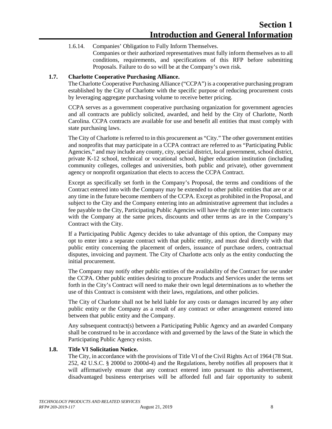1.6.14. Companies' Obligation to Fully Inform Themselves. Companies or their authorized representatives must fully inform themselves as to all conditions, requirements, and specifications of this RFP before submitting Proposals. Failure to do so will be at the Company's own risk.

#### <span id="page-13-0"></span>**1.7. Charlotte Cooperative Purchasing Alliance.**

The Charlotte Cooperative Purchasing Alliance ("CCPA") is a cooperative purchasing program established by the City of Charlotte with the specific purpose of reducing procurement costs by leveraging aggregate purchasing volume to receive better pricing.

CCPA serves as a government cooperative purchasing organization for government agencies and all contracts are publicly solicited, awarded, and held by the City of Charlotte, North Carolina. CCPA contracts are available for use and benefit all entities that must comply with state purchasing laws.

The City of Charlotte is referred to in this procurement as "City." The other government entities and nonprofits that may participate in a CCPA contract are referred to as "Participating Public Agencies," and may include any county, city, special district, local government, school district, private K-12 school, technical or vocational school, higher education institution (including community colleges, colleges and universities, both public and private), other government agency or nonprofit organization that elects to access the CCPA Contract.

Except as specifically set forth in the Company's Proposal, the terms and conditions of the Contract entered into with the Company may be extended to other public entities that are or at any time in the future become members of the CCPA. Except as prohibited in the Proposal, and subject to the City and the Company entering into an administrative agreement that includes a fee payable to the City, Participating Public Agencies will have the right to enter into contracts with the Company at the same prices, discounts and other terms as are in the Company's Contract with the City.

If a Participating Public Agency decides to take advantage of this option, the Company may opt to enter into a separate contract with that public entity, and must deal directly with that public entity concerning the placement of orders, issuance of purchase orders, contractual disputes, invoicing and payment. The City of Charlotte acts only as the entity conducting the initial procurement.

The Company may notify other public entities of the availability of the Contract for use under the CCPA. Other public entities desiring to procure Products and Services under the terms set forth in the City's Contract will need to make their own legal determinations as to whether the use of this Contract is consistent with their laws, regulations, and other policies.

The City of Charlotte shall not be held liable for any costs or damages incurred by any other public entity or the Company as a result of any contract or other arrangement entered into between that public entity and the Company.

Any subsequent contract(s) between a Participating Public Agency and an awarded Company shall be construed to be in accordance with and governed by the laws of the State in which the Participating Public Agency exists.

#### <span id="page-13-1"></span>**1.8. Title VI Solicitation Notice.**

The City, in accordance with the provisions of Title VI of the Civil Rights Act of 1964 (78 Stat. 252, 42 U.S.C. § 2000d to 2000d-4) and the Regulations, hereby notifies all proposers that it will affirmatively ensure that any contract entered into pursuant to this advertisement, disadvantaged business enterprises will be afforded full and fair opportunity to submit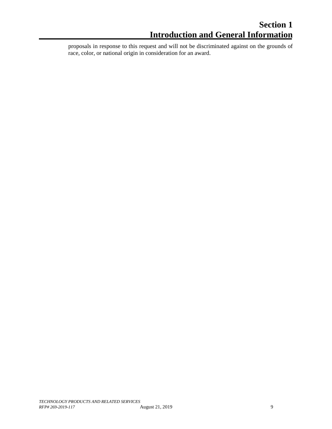proposals in response to this request and will not be discriminated against on the grounds of race, color, or national origin in consideration for an award.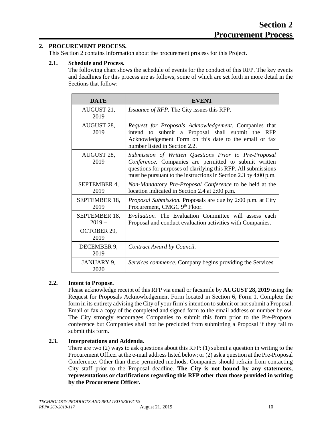#### <span id="page-15-0"></span>**2. PROCUREMENT PROCESS.**

This Section 2 contains information about the procurement process for this Project.

#### <span id="page-15-1"></span>**2.1. Schedule and Process.**

The following chart shows the schedule of events for the conduct of this RFP. The key events and deadlines for this process are as follows, some of which are set forth in more detail in the Sections that follow:

| <b>DATE</b>              | <b>EVENT</b>                                                                                                                                                                                                                                         |  |  |
|--------------------------|------------------------------------------------------------------------------------------------------------------------------------------------------------------------------------------------------------------------------------------------------|--|--|
| AUGUST 21,<br>2019       | <i>Issuance of RFP.</i> The City issues this RFP.                                                                                                                                                                                                    |  |  |
| AUGUST 28,<br>2019       | Request for Proposals Acknowledgement. Companies that<br>intend to submit a Proposal shall submit the RFP<br>Acknowledgement Form on this date to the email or fax<br>number listed in Section 2.2.                                                  |  |  |
| AUGUST 28,<br>2019       | Submission of Written Questions Prior to Pre-Proposal<br>Conference. Companies are permitted to submit written<br>questions for purposes of clarifying this RFP. All submissions<br>must be pursuant to the instructions in Section 2.3 by 4:00 p.m. |  |  |
| SEPTEMBER 4,<br>2019     | Non-Mandatory Pre-Proposal Conference to be held at the<br>location indicated in Section 2.4 at 2:00 p.m.                                                                                                                                            |  |  |
| SEPTEMBER 18,<br>2019    | <i>Proposal Submission.</i> Proposals are due by 2:00 p.m. at City<br>Procurement, CMGC 9th Floor.                                                                                                                                                   |  |  |
| SEPTEMBER 18,<br>$2019-$ | <i>Evaluation</i> . The Evaluation Committee will assess each<br>Proposal and conduct evaluation activities with Companies.                                                                                                                          |  |  |
| OCTOBER 29,<br>2019      |                                                                                                                                                                                                                                                      |  |  |
| DECEMBER 9,<br>2019      | Contract Award by Council.                                                                                                                                                                                                                           |  |  |
| JANUARY 9,<br>2020       | Services commence. Company begins providing the Services.                                                                                                                                                                                            |  |  |

#### <span id="page-15-2"></span>**2.2. Intent to Propose.**

Please acknowledge receipt of this RFP via email or facsimile by **AUGUST 28, 2019** using the Request for Proposals Acknowledgement Form located in Section 6, Form 1. Complete the form in its entirety advising the City of your firm's intention to submit or not submit a Proposal. Email or fax a copy of the completed and signed form to the email address or number below. The City strongly encourages Companies to submit this form prior to the Pre-Proposal conference but Companies shall not be precluded from submitting a Proposal if they fail to submit this form.

#### <span id="page-15-3"></span>**2.3. Interpretations and Addenda.**

There are two (2) ways to ask questions about this RFP: (1) submit a question in writing to the Procurement Officer at the e-mail address listed below; or (2) ask a question at the Pre-Proposal Conference. Other than these permitted methods, Companies should refrain from contacting City staff prior to the Proposal deadline. **The City is not bound by any statements, representations or clarifications regarding this RFP other than those provided in writing by the Procurement Officer.**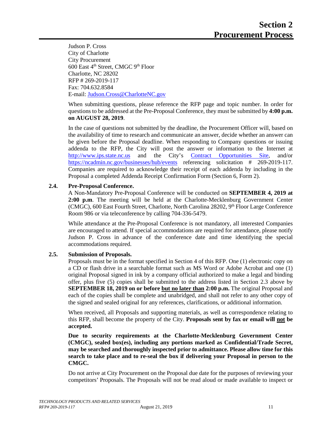Judson P. Cross City of Charlotte City Procurement 600 East 4th Street, CMGC 9th Floor Charlotte, NC 28202 RFP # 269-2019-117 Fax: 704.632.8584 E-mail[: Judson.Cross@CharlotteNC.gov](mailto:Judson.Cross@CharlotteNC.gov)

When submitting questions, please reference the RFP page and topic number. In order for questions to be addressed at the Pre-Proposal Conference, they must be submitted by **4:00 p.m. on AUGUST 28, 2019**.

In the case of questions not submitted by the deadline, the Procurement Officer will, based on the availability of time to research and communicate an answer, decide whether an answer can be given before the Proposal deadline. When responding to Company questions or issuing addenda to the RFP, the City will post the answer or information to the Internet at [http://www.ips.state.nc.us](http://www.ips.state.nc.us/) and the City's [Contract Opportunities Site,](http://charlottenc.gov/DoingBusiness/Pages/ContractOpportunities.aspx) and/or <https://ncadmin.nc.gov/businesses/hub/events> referencing solicitation # 269-2019-117. Companies are required to acknowledge their receipt of each addenda by including in the Proposal a completed Addenda Receipt Confirmation Form (Section 6, Form 2).

#### <span id="page-16-0"></span>**2.4. Pre-Proposal Conference.**

A Non-Mandatory Pre-Proposal Conference will be conducted on **SEPTEMBER 4, 2019 at 2:00 p.m**. The meeting will be held at the Charlotte-Mecklenburg Government Center (CMGC), 600 East Fourth Street, Charlotte, North Carolina 28202, 9<sup>th</sup> Floor Large Conference Room 986 or via teleconference by calling 704-336-5479.

While attendance at the Pre-Proposal Conference is not mandatory, all interested Companies are encouraged to attend. If special accommodations are required for attendance, please notify Judson P. Cross in advance of the conference date and time identifying the special accommodations required.

#### <span id="page-16-1"></span>**2.5. Submission of Proposals.**

Proposals must be in the format specified in Section 4 of this RFP. One (1) electronic copy on a CD or flash drive in a searchable format such as MS Word or Adobe Acrobat and one (1) original Proposal signed in ink by a company official authorized to make a legal and binding offer, plus five (5) copies shall be submitted to the address listed in Section 2.3 above by **SEPTEMBER 18, 2019 on or before but no later than 2:00 p.m.** The original Proposal and each of the copies shall be complete and unabridged, and shall not refer to any other copy of the signed and sealed original for any references, clarifications, or additional information.

When received, all Proposals and supporting materials, as well as correspondence relating to this RFP, shall become the property of the City. **Proposals sent by fax or email will not be accepted.**

**Due to security requirements at the Charlotte-Mecklenburg Government Center (CMGC), sealed box(es), including any portions marked as Confidential/Trade Secret, may be searched and thoroughly inspected prior to admittance. Please allow time for this search to take place and to re-seal the box if delivering your Proposal in person to the CMGC.**

Do not arrive at City Procurement on the Proposal due date for the purposes of reviewing your competitors' Proposals. The Proposals will not be read aloud or made available to inspect or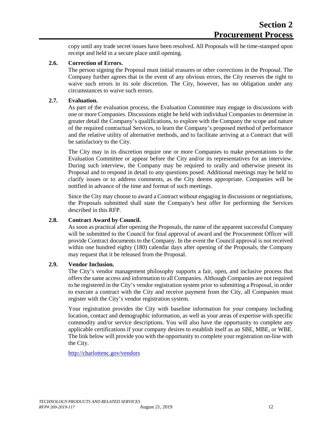copy until any trade secret issues have been resolved. All Proposals will be time-stamped upon receipt and held in a secure place until opening.

#### <span id="page-17-0"></span>**2.6. Correction of Errors.**

The person signing the Proposal must initial erasures or other corrections in the Proposal. The Company further agrees that in the event of any obvious errors, the City reserves the right to waive such errors in its sole discretion. The City, however, has no obligation under any circumstances to waive such errors.

#### <span id="page-17-1"></span>**2.7. Evaluation.**

As part of the evaluation process, the Evaluation Committee may engage in discussions with one or more Companies. Discussions might be held with individual Companies to determine in greater detail the Company's qualifications, to explore with the Company the scope and nature of the required contractual Services, to learn the Company's proposed method of performance and the relative utility of alternative methods, and to facilitate arriving at a Contract that will be satisfactory to the City.

The City may in its discretion require one or more Companies to make presentations to the Evaluation Committee or appear before the City and/or its representatives for an interview. During such interview, the Company may be required to orally and otherwise present its Proposal and to respond in detail to any questions posed. Additional meetings may be held to clarify issues or to address comments, as the City deems appropriate. Companies will be notified in advance of the time and format of such meetings.

Since the City may choose to award a Contract without engaging in discussions or negotiations, the Proposals submitted shall state the Company's best offer for performing the Services described in this RFP.

#### <span id="page-17-2"></span>**2.8. Contract Award by Council.**

As soon as practical after opening the Proposals, the name of the apparent successful Company will be submitted to the Council for final approval of award and the Procurement Officer will provide Contract documents to the Company. In the event the Council approval is not received within one hundred eighty (180) calendar days after opening of the Proposals, the Company may request that it be released from the Proposal.

#### <span id="page-17-3"></span>**2.9. Vendor Inclusion.**

The City's vendor management philosophy supports a fair, open, and inclusive process that offers the same access and information to all Companies. Although Companies are not required to be registered in the City's vendor registration system prior to submitting a Proposal, in order to execute a contract with the City and receive payment from the City, all Companies must register with the City's vendor registration system.

Your registration provides the City with baseline information for your company including location, contact and demographic information, as well as your areas of expertise with specific commodity and/or service descriptions. You will also have the opportunity to complete any applicable certifications if your company desires to establish itself as an SBE, MBE, or WBE. The link below will provide you with the opportunity to complete your registration on-line with the City.

<http://charlottenc.gov/vendors>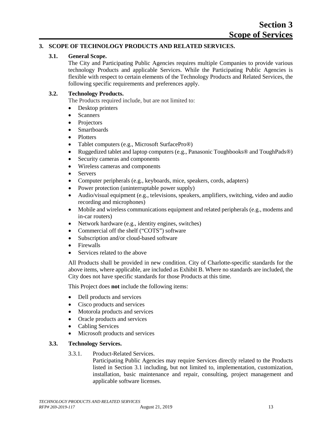#### <span id="page-18-1"></span><span id="page-18-0"></span>**3. SCOPE OF TECHNOLOGY PRODUCTS AND RELATED SERVICES.**

#### **3.1. General Scope.**

The City and Participating Public Agencies requires multiple Companies to provide various technology Products and applicable Services. While the Participating Public Agencies is flexible with respect to certain elements of the Technology Products and Related Services, the following specific requirements and preferences apply.

#### <span id="page-18-2"></span>**3.2. Technology Products.**

The Products required include, but are not limited to:

- Desktop printers
- Scanners
- Projectors
- Smartboards
- Plotters
- Tablet computers (e.g., Microsoft SurfacePro®)
- Ruggedized tablet and laptop computers (e.g., Panasonic Toughbooks® and ToughPads®)
- Security cameras and components
- Wireless cameras and components
- Servers
- Computer peripherals (e.g., keyboards, mice, speakers, cords, adapters)
- Power protection (uninterruptable power supply)
- Audio/visual equipment (e.g., televisions, speakers, amplifiers, switching, video and audio recording and microphones)
- Mobile and wireless communications equipment and related peripherals (e.g., modems and in-car routers)
- Network hardware (e.g., identity engines, switches)
- Commercial off the shelf ("COTS") software
- Subscription and/or cloud-based software
- Firewalls
- Services related to the above

All Products shall be provided in new condition. City of Charlotte-specific standards for the above items, where applicable, are included as Exhibit B. Where no standards are included, the City does not have specific standards for those Products at this time.

This Project does **not** include the following items:

- Dell products and services
- Cisco products and services
- Motorola products and services
- Oracle products and services
- Cabling Services
- Microsoft products and services

#### <span id="page-18-3"></span>**3.3. Technology Services.**

3.3.1. Product-Related Services.

Participating Public Agencies may require Services directly related to the Products listed in Section 3.1 including, but not limited to, implementation, customization, installation, basic maintenance and repair, consulting, project management and applicable software licenses.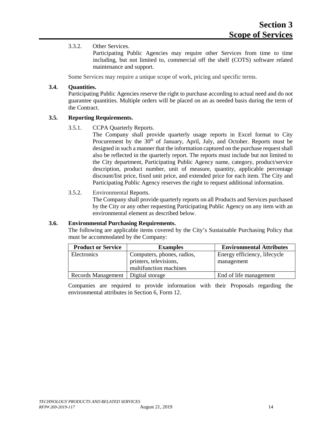#### 3.3.2. Other Services.

Participating Public Agencies may require other Services from time to time including, but not limited to, commercial off the shelf (COTS) software related maintenance and support.

Some Services may require a unique scope of work, pricing and specific terms.

#### <span id="page-19-0"></span>**3.4. Quantities.**

Participating Public Agencies reserve the right to purchase according to actual need and do not guarantee quantities. Multiple orders will be placed on an as needed basis during the term of the Contract.

#### <span id="page-19-1"></span>**3.5. Reporting Requirements.**

#### 3.5.1. CCPA Quarterly Reports.

The Company shall provide quarterly usage reports in Excel format to City Procurement by the 30<sup>th</sup> of January, April, July, and October. Reports must be designed in such a manner that the information captured on the purchase request shall also be reflected in the quarterly report. The reports must include but not limited to the City department, Participating Public Agency name, category, product/service description, product number, unit of measure, quantity, applicable percentage discount/list price, fixed unit price, and extended price for each item. The City and Participating Public Agency reserves the right to request additional information.

#### 3.5.2. Environmental Reports.

The Company shall provide quarterly reports on all Products and Services purchased by the City or any other requesting Participating Public Agency on any item with an environmental element as described below.

#### <span id="page-19-2"></span>**3.6. Environmental Purchasing Requirements.**

The following are applicable items covered by the City's Sustainable Purchasing Policy that must be accommodated by the Company:

| <b>Product or Service</b>            | <b>Examples</b>                                      | <b>Environmental Attributes</b>            |
|--------------------------------------|------------------------------------------------------|--------------------------------------------|
| Electronics                          | Computers, phones, radios,<br>printers, televisions, | Energy efficiency, lifecycle<br>management |
|                                      | multifunction machines                               |                                            |
| Records Management   Digital storage |                                                      | End of life management                     |

Companies are required to provide information with their Proposals regarding the environmental attributes in Section 6, Form 12.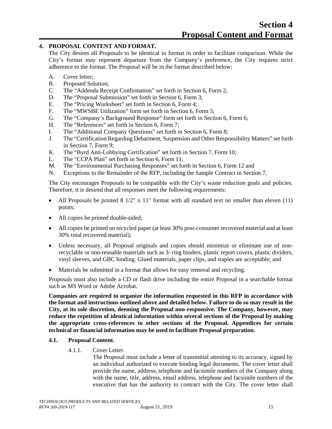#### <span id="page-20-0"></span>**4. PROPOSAL CONTENT AND FORMAT.**

The City desires all Proposals to be identical in format in order to facilitate comparison. While the City's format may represent departure from the Company's preference, the City requires strict adherence to the format. The Proposal will be in the format described below:

- A. Cover letter;
- B. Proposed Solution;
- C. The "Addenda Receipt Confirmation" set forth in Section 6, Form 2;
- D. The "Proposal Submission" set forth in Section 6, Form 3;
- E. The "Pricing Worksheet" set forth in Section 6, Form 4;
- F. The "MWSBE Utilization" form set forth in Section 6, Form 5;
- G. The "Company's Background Response" form set forth in Section 6, Form 6;
- H. The "References" set forth in Section 6, Form 7;
- I. The "Additional Company Questions" set forth in Section 6, Form 8;
- J. The "Certification Regarding Debarment, Suspension and Other Responsibility Matters" set forth in Section 7, Form 9;
- K. The "Byrd Anti-Lobbying Certification" set forth in Section 7, Form 10;
- L. The "CCPA Plan" set forth in Section 6, Form 11;
- M. The "Environmental Purchasing Responses" set forth in Section 6, Form 12 and
- N. Exceptions to the Remainder of the RFP, including the Sample Contract in Section 7.

The City encourages Proposals to be compatible with the City's waste reduction goals and policies. Therefore, it is desired that all responses meet the following requirements:

- All Proposals be printed  $8\frac{1}{2}$ " x  $11$ " format with all standard text no smaller than eleven (11) points;
- All copies be printed double-sided;
- All copies be printed on recycled paper (at least 30% post-consumer recovered material and at least 30% total recovered material);
- Unless necessary, all Proposal originals and copies should minimize or eliminate use of nonrecyclable or non-reusable materials such as 3- ring binders, plastic report covers, plastic dividers, vinyl sleeves, and GBC binding. Glued materials, paper clips, and staples are acceptable; and
- Materials be submitted in a format that allows for easy removal and recycling.

Proposals must also include a CD or flash drive including the entire Proposal in a searchable format such as MS Word or Adobe Acrobat.

**Companies are required to organize the information requested in this RFP in accordance with the format and instructions outlined above and detailed below. Failure to do so may result in the City, at its sole discretion, deeming the Proposal non-responsive. The Company, however, may reduce the repetition of identical information within several sections of the Proposal by making the appropriate cross-references to other sections of the Proposal. Appendices for certain technical or financial information may be used to facilitate Proposal preparation.**

#### <span id="page-20-1"></span>**4.1. Proposal Content.**

4.1.1. Cover Letter.

The Proposal must include a letter of transmittal attesting to its accuracy, signed by an individual authorized to execute binding legal documents. The cover letter shall provide the name, address, telephone and facsimile numbers of the Company along with the name, title, address, email address, telephone and facsimile numbers of the executive that has the authority to contract with the City. The cover letter shall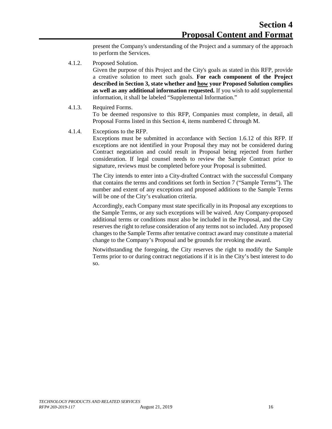present the Company's understanding of the Project and a summary of the approach to perform the Services.

4.1.2. Proposed Solution.

Given the purpose of this Project and the City's goals as stated in this RFP, provide a creative solution to meet such goals. **For each component of the Project described in Section 3, state whether and how your Proposed Solution complies as well as any additional information requested.** If you wish to add supplemental information, it shall be labeled "Supplemental Information."

4.1.3. Required Forms.

To be deemed responsive to this RFP, Companies must complete, in detail, all Proposal Forms listed in this Section 4, items numbered C through M.

4.1.4. Exceptions to the RFP.

Exceptions must be submitted in accordance with Section 1.6.12 of this RFP. If exceptions are not identified in your Proposal they may not be considered during Contract negotiation and could result in Proposal being rejected from further consideration. If legal counsel needs to review the Sample Contract prior to signature, reviews must be completed before your Proposal is submitted.

The City intends to enter into a City-drafted Contract with the successful Company that contains the terms and conditions set forth in Section 7 ("Sample Terms"). The number and extent of any exceptions and proposed additions to the Sample Terms will be one of the City's evaluation criteria.

Accordingly, each Company must state specifically in its Proposal any exceptions to the Sample Terms, or any such exceptions will be waived. Any Company-proposed additional terms or conditions must also be included in the Proposal, and the City reserves the right to refuse consideration of any terms not so included. Any proposed changes to the Sample Terms after tentative contract award may constitute a material change to the Company's Proposal and be grounds for revoking the award.

Notwithstanding the foregoing, the City reserves the right to modify the Sample Terms prior to or during contract negotiations if it is in the City's best interest to do so.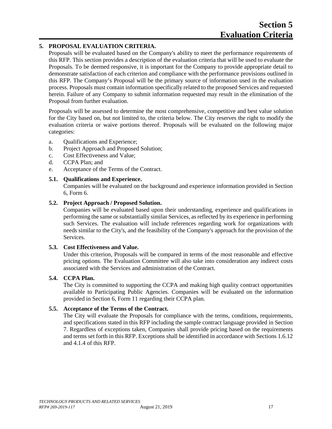#### <span id="page-22-0"></span>**5. PROPOSAL EVALUATION CRITERIA.**

Proposals will be evaluated based on the Company's ability to meet the performance requirements of this RFP. This section provides a description of the evaluation criteria that will be used to evaluate the Proposals. To be deemed responsive, it is important for the Company to provide appropriate detail to demonstrate satisfaction of each criterion and compliance with the performance provisions outlined in this RFP. The Company's Proposal will be the primary source of information used in the evaluation process. Proposals must contain information specifically related to the proposed Services and requested herein. Failure of any Company to submit information requested may result in the elimination of the Proposal from further evaluation.

Proposals will be assessed to determine the most comprehensive, competitive and best value solution for the City based on, but not limited to, the criteria below. The City reserves the right to modify the evaluation criteria or waive portions thereof. Proposals will be evaluated on the following major categories:

- a. Qualifications and Experience;
- b. Project Approach and Proposed Solution;
- c. Cost Effectiveness and Value;
- d. CCPA Plan; and
- e. Acceptance of the Terms of the Contract.

#### <span id="page-22-1"></span>**5.1. Qualifications and Experience.**

Companies will be evaluated on the background and experience information provided in Section 6, Form 6.

#### <span id="page-22-2"></span>**5.2. Project Approach / Proposed Solution.**

Companies will be evaluated based upon their understanding, experience and qualifications in performing the same or substantially similar Services, as reflected by its experience in performing such Services. The evaluation will include references regarding work for organizations with needs similar to the City's, and the feasibility of the Company's approach for the provision of the Services.

#### <span id="page-22-3"></span>**5.3. Cost Effectiveness and Value.**

Under this criterion, Proposals will be compared in terms of the most reasonable and effective pricing options. The Evaluation Committee will also take into consideration any indirect costs associated with the Services and administration of the Contract.

#### <span id="page-22-4"></span>**5.4. CCPA Plan.**

The City is committed to supporting the CCPA and making high quality contract opportunities available to Participating Public Agencies. Companies will be evaluated on the information provided in Section 6, Form 11 regarding their CCPA plan.

#### <span id="page-22-5"></span>**5.5. Acceptance of the Terms of the Contract.**

The City will evaluate the Proposals for compliance with the terms, conditions, requirements, and specifications stated in this RFP including the sample contract language provided in Section 7. Regardless of exceptions taken, Companies shall provide pricing based on the requirements and terms set forth in this RFP. Exceptions shall be identified in accordance with Sections 1.6.12 and 4.1.4 of this RFP.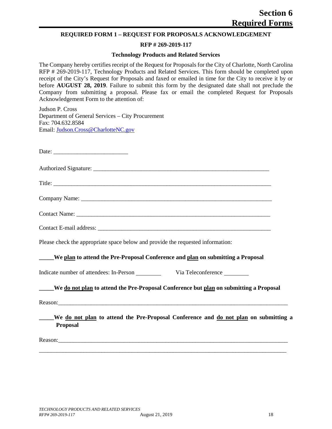#### <span id="page-23-0"></span>**REQUIRED FORM 1 – REQUEST FOR PROPOSALS ACKNOWLEDGEMENT**

#### **RFP # 269-2019-117**

#### **Technology Products and Related Services**

The Company hereby certifies receipt of the Request for Proposals for the City of Charlotte, North Carolina RFP # 269-2019-117, Technology Products and Related Services. This form should be completed upon receipt of the City's Request for Proposals and faxed or emailed in time for the City to receive it by or before **AUGUST 28, 2019**. Failure to submit this form by the designated date shall not preclude the Company from submitting a proposal. Please fax or email the completed Request for Proposals Acknowledgement Form to the attention of:

Judson P. Cross Department of General Services – City Procurement Fax: 704.632.8584 Email: [Judson.Cross@CharlotteNC.gov](mailto:Judson.Cross@CharlotteNC.gov)

Date:

Authorized Signature:

Title: \_\_\_\_\_\_\_\_\_\_\_\_\_\_\_\_\_\_\_\_\_\_\_\_\_\_\_\_\_\_\_\_\_\_\_\_\_\_\_\_\_\_\_\_\_\_\_\_\_\_\_\_\_\_\_\_\_\_\_\_\_\_\_\_\_\_\_\_\_\_\_\_\_

Company Name:

Contact Name: \_\_\_\_\_\_\_\_\_\_\_\_\_\_\_\_\_\_\_\_\_\_\_\_\_\_\_\_\_\_\_\_\_\_\_\_\_\_\_\_\_\_\_\_\_\_\_\_\_\_\_\_\_\_\_\_\_\_\_\_\_\_\_\_\_

Contact E-mail address:

Please check the appropriate space below and provide the requested information:

#### **\_\_\_\_\_We plan to attend the Pre-Proposal Conference and plan on submitting a Proposal**

Indicate number of attendees: In-Person Via Teleconference

#### **\_\_\_\_\_We do not plan to attend the Pre-Proposal Conference but plan on submitting a Proposal**

Reason:

**\_\_\_\_\_We do not plan to attend the Pre-Proposal Conference and do not plan on submitting a Proposal**

\_\_\_\_\_\_\_\_\_\_\_\_\_\_\_\_\_\_\_\_\_\_\_\_\_\_\_\_\_\_\_\_\_\_\_\_\_\_\_\_\_\_\_\_\_\_\_\_\_\_\_\_\_\_\_\_\_\_\_\_\_\_\_\_\_\_\_\_\_\_\_\_\_\_\_\_\_\_\_\_\_\_\_

Reason: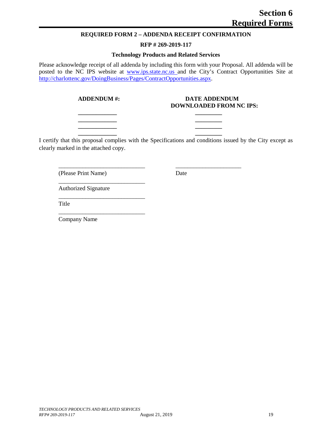#### **REQUIRED FORM 2 – ADDENDA RECEIPT CONFIRMATION**

#### **RFP # 269-2019-117**

#### **Technology Products and Related Services**

<span id="page-24-0"></span>Please acknowledge receipt of all addenda by including this form with your Proposal. All addenda will be posted to the NC IPS website at [www.ips.state.nc.us](http://www.ips.state.nc.us/) and the City's Contract Opportunities Site at [http://charlottenc.gov/DoingBusiness/Pages/ContractOpportunities.aspx.](http://charlottenc.gov/DoingBusiness/Pages/ContractOpportunities.aspx)

\_\_\_\_\_\_\_\_\_\_\_\_\_\_\_\_\_\_\_\_\_\_\_\_\_\_\_\_\_

\_\_\_\_\_\_\_\_\_\_\_\_\_\_\_\_\_\_\_\_\_\_\_\_\_\_\_\_\_

\_\_\_\_\_\_\_\_\_\_\_\_\_\_\_\_\_\_\_\_\_\_\_\_\_\_\_\_\_

#### **ADDENDUM #: DATE ADDENDUM DOWNLOADED FROM NC IPS:**

I certify that this proposal complies with the Specifications and conditions issued by the City except as clearly marked in the attached copy.

**\_\_\_\_\_\_\_\_\_\_\_\_\_ \_\_\_\_\_\_\_\_\_ \_\_\_\_\_\_\_\_\_\_\_\_\_ \_\_\_\_\_\_\_\_\_ \_\_\_\_\_\_\_\_\_\_\_\_\_ \_\_\_\_\_\_\_\_\_ \_\_\_\_\_\_\_\_\_\_\_\_\_ \_\_\_\_\_\_\_\_\_**

\_\_\_\_\_\_\_\_\_\_\_\_\_\_\_\_\_\_\_\_\_\_\_\_\_\_\_\_\_ \_\_\_\_\_\_\_\_\_\_\_\_\_\_\_\_\_\_\_\_\_\_

(Please Print Name) Date

Authorized Signature

Title

Company Name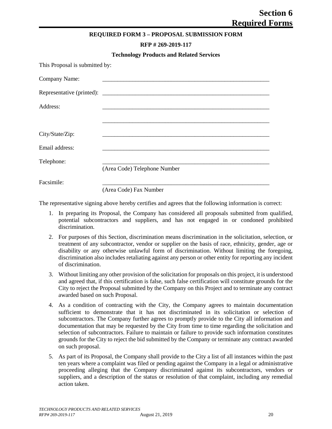#### **REQUIRED FORM 3 – PROPOSAL SUBMISSION FORM**

#### **RFP # 269-2019-117**

<span id="page-25-0"></span>

|                                | <b>Technology Products and Related Services</b> |
|--------------------------------|-------------------------------------------------|
| This Proposal is submitted by: |                                                 |
| Company Name:                  |                                                 |
|                                |                                                 |
| Address:                       |                                                 |
|                                |                                                 |
| City/State/Zip:                |                                                 |
| Email address:                 |                                                 |
| Telephone:                     |                                                 |
|                                | (Area Code) Telephone Number                    |
| Facsimile:                     |                                                 |
|                                | (Area Code) Fax Number                          |

The representative signing above hereby certifies and agrees that the following information is correct:

- 1. In preparing its Proposal, the Company has considered all proposals submitted from qualified, potential subcontractors and suppliers, and has not engaged in or condoned prohibited discrimination.
- 2. For purposes of this Section, discrimination means discrimination in the solicitation, selection, or treatment of any subcontractor, vendor or supplier on the basis of race, ethnicity, gender, age or disability or any otherwise unlawful form of discrimination. Without limiting the foregoing, discrimination also includes retaliating against any person or other entity for reporting any incident of discrimination.
- 3. Without limiting any other provision of the solicitation for proposals on this project, it is understood and agreed that, if this certification is false, such false certification will constitute grounds for the City to reject the Proposal submitted by the Company on this Project and to terminate any contract awarded based on such Proposal.
- 4. As a condition of contracting with the City, the Company agrees to maintain documentation sufficient to demonstrate that it has not discriminated in its solicitation or selection of subcontractors. The Company further agrees to promptly provide to the City all information and documentation that may be requested by the City from time to time regarding the solicitation and selection of subcontractors. Failure to maintain or failure to provide such information constitutes grounds for the City to reject the bid submitted by the Company or terminate any contract awarded on such proposal.
- 5. As part of its Proposal, the Company shall provide to the City a list of all instances within the past ten years where a complaint was filed or pending against the Company in a legal or administrative proceeding alleging that the Company discriminated against its subcontractors, vendors or suppliers, and a description of the status or resolution of that complaint, including any remedial action taken.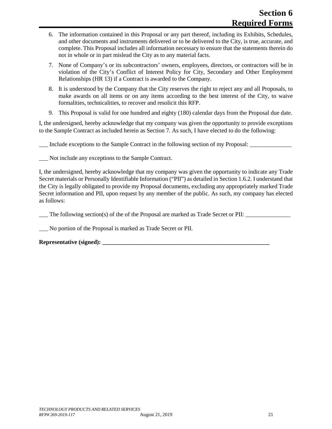- 6. The information contained in this Proposal or any part thereof, including its Exhibits, Schedules, and other documents and instruments delivered or to be delivered to the City, is true, accurate, and complete. This Proposal includes all information necessary to ensure that the statements therein do not in whole or in part mislead the City as to any material facts.
- 7. None of Company's or its subcontractors' owners, employees, directors, or contractors will be in violation of the City's Conflict of Interest Policy for City, Secondary and Other Employment Relationships (HR 13) if a Contract is awarded to the Company.
- 8. It is understood by the Company that the City reserves the right to reject any and all Proposals, to make awards on all items or on any items according to the best interest of the City, to waive formalities, technicalities, to recover and resolicit this RFP.
- 9. This Proposal is valid for one hundred and eighty (180) calendar days from the Proposal due date.

I, the undersigned, hereby acknowledge that my company was given the opportunity to provide exceptions to the Sample Contract as included herein as Section 7. As such, I have elected to do the following:

Include exceptions to the Sample Contract in the following section of my Proposal:

Not include any exceptions to the Sample Contract.

I, the undersigned, hereby acknowledge that my company was given the opportunity to indicate any Trade Secret materials or Personally Identifiable Information ("PII") as detailed in Section 1.6.2. I understand that the City is legally obligated to provide my Proposal documents, excluding any appropriately marked Trade Secret information and PII, upon request by any member of the public. As such, my company has elected as follows:

The following section(s) of the of the Proposal are marked as Trade Secret or PII:

\_\_\_ No portion of the Proposal is marked as Trade Secret or PII.

**Representative (signed): \_\_\_\_\_\_\_\_\_\_\_\_\_\_\_\_\_\_\_\_\_\_\_\_\_\_\_\_\_\_\_\_\_\_\_\_\_\_\_\_\_\_\_\_\_\_\_\_\_\_\_\_\_\_\_\_**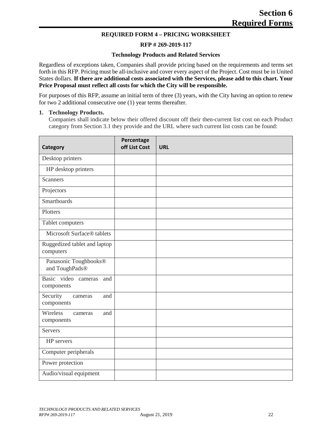#### **REQUIRED FORM 4 – PRICING WORKSHEET**

#### **RFP # 269-2019-117**

#### **Technology Products and Related Services**

<span id="page-27-0"></span>Regardless of exceptions taken, Companies shall provide pricing based on the requirements and terms set forth in this RFP. Pricing must be all-inclusive and cover every aspect of the Project. Cost must be in United States dollars. **If there are additional costs associated with the Services, please add to this chart. Your Price Proposal must reflect all costs for which the City will be responsible.**

For purposes of this RFP, assume an initial term of three (3) years, with the City having an option to renew for two 2 additional consecutive one (1) year terms thereafter.

#### **1. Technology Products.**

Companies shall indicate below their offered discount off their then-current list cost on each Product category from Section 3.1 they provide and the URL where such current list costs can be found:

| Category                                  | Percentage<br>off List Cost | <b>URL</b> |
|-------------------------------------------|-----------------------------|------------|
| Desktop printers                          |                             |            |
| HP desktop printers                       |                             |            |
| <b>Scanners</b>                           |                             |            |
| Projectors                                |                             |            |
| <b>Smartboards</b>                        |                             |            |
| Plotters                                  |                             |            |
| Tablet computers                          |                             |            |
| Microsoft Surface® tablets                |                             |            |
| Ruggedized tablet and laptop<br>computers |                             |            |
| Panasonic Toughbooks®<br>and ToughPads®   |                             |            |
| Basic video cameras<br>and<br>components  |                             |            |
| Security<br>and<br>cameras<br>components  |                             |            |
| Wireless<br>and<br>cameras<br>components  |                             |            |
| <b>Servers</b>                            |                             |            |
| HP servers                                |                             |            |
| Computer peripherals                      |                             |            |
| Power protection                          |                             |            |
| Audio/visual equipment                    |                             |            |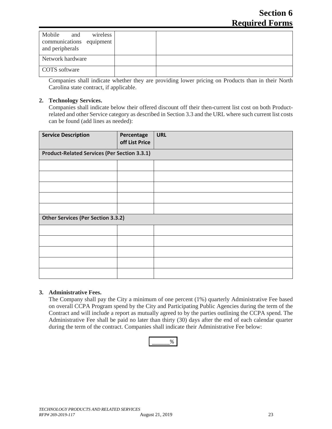| Mobile<br>wireless<br>and<br>communications equipment<br>and peripherals |  |
|--------------------------------------------------------------------------|--|
| Network hardware                                                         |  |
| COTS software                                                            |  |

Companies shall indicate whether they are providing lower pricing on Products than in their North Carolina state contract, if applicable.

#### **2. Technology Services.**

Companies shall indicate below their offered discount off their then-current list cost on both Productrelated and other Service category as described in Section 3.3 and the URL where such current list costs can be found (add lines as needed):

| <b>Service Description</b>                          | Percentage<br>off List Price | <b>URL</b> |  |  |
|-----------------------------------------------------|------------------------------|------------|--|--|
| <b>Product-Related Services (Per Section 3.3.1)</b> |                              |            |  |  |
|                                                     |                              |            |  |  |
|                                                     |                              |            |  |  |
|                                                     |                              |            |  |  |
|                                                     |                              |            |  |  |
|                                                     |                              |            |  |  |
| <b>Other Services (Per Section 3.3.2)</b>           |                              |            |  |  |
|                                                     |                              |            |  |  |
|                                                     |                              |            |  |  |
|                                                     |                              |            |  |  |
|                                                     |                              |            |  |  |
|                                                     |                              |            |  |  |

#### **3. Administrative Fees.**

The Company shall pay the City a minimum of one percent (1%) quarterly Administrative Fee based on overall CCPA Program spend by the City and Participating Public Agencies during the term of the Contract and will include a report as mutually agreed to by the parties outlining the CCPA spend. The Administrative Fee shall be paid no later than thirty (30) days after the end of each calendar quarter during the term of the contract. Companies shall indicate their Administrative Fee below:

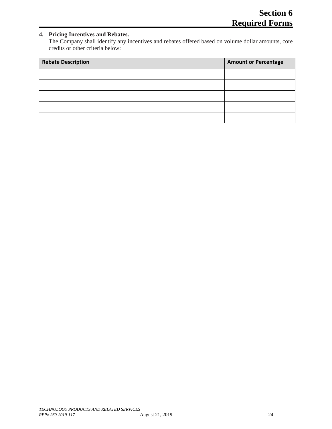#### **4. Pricing Incentives and Rebates.**

The Company shall identify any incentives and rebates offered based on volume dollar amounts, core credits or other criteria below:

| <b>Rebate Description</b> | <b>Amount or Percentage</b> |
|---------------------------|-----------------------------|
|                           |                             |
|                           |                             |
|                           |                             |
|                           |                             |
|                           |                             |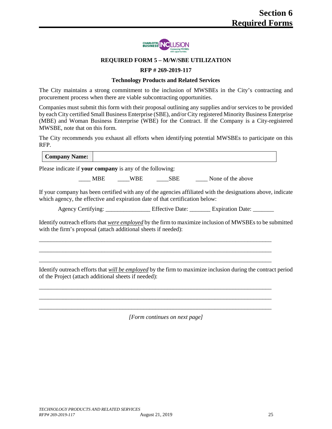

#### **REQUIRED FORM 5 – M/W/SBE UTILIZATION**

#### **RFP # 269-2019-117**

#### **Technology Products and Related Services**

<span id="page-30-0"></span>The City maintains a strong commitment to the inclusion of MWSBEs in the City's contracting and procurement process when there are viable subcontracting opportunities.

Companies must submit this form with their proposal outlining any supplies and/or services to be provided by each City certified Small Business Enterprise (SBE), and/or City registered Minority Business Enterprise (MBE) and Woman Business Enterprise (WBE) for the Contract. If the Company is a City-registered MWSBE, note that on this form.

The City recommends you exhaust all efforts when identifying potential MWSBEs to participate on this RFP.

| Please indicate if your company is any of the following:<br>None of the above<br>MBE<br><b>WBE</b><br><b>SBE</b>                                                                             |  |
|----------------------------------------------------------------------------------------------------------------------------------------------------------------------------------------------|--|
|                                                                                                                                                                                              |  |
|                                                                                                                                                                                              |  |
| If your company has been certified with any of the agencies affiliated with the designations above, indicate<br>which agency, the effective and expiration date of that certification below: |  |

Agency Certifying: \_\_\_\_\_\_\_\_\_\_\_\_\_\_\_\_\_\_\_ Effective Date: \_\_\_\_\_\_\_\_ Expiration Date: \_\_\_\_\_\_

Identify outreach efforts that *were employed* by the firm to maximize inclusion of MWSBEs to be submitted with the firm's proposal (attach additional sheets if needed):

\_\_\_\_\_\_\_\_\_\_\_\_\_\_\_\_\_\_\_\_\_\_\_\_\_\_\_\_\_\_\_\_\_\_\_\_\_\_\_\_\_\_\_\_\_\_\_\_\_\_\_\_\_\_\_\_\_\_\_\_\_\_\_\_\_\_\_\_\_\_\_\_\_\_\_\_\_\_ \_\_\_\_\_\_\_\_\_\_\_\_\_\_\_\_\_\_\_\_\_\_\_\_\_\_\_\_\_\_\_\_\_\_\_\_\_\_\_\_\_\_\_\_\_\_\_\_\_\_\_\_\_\_\_\_\_\_\_\_\_\_\_\_\_\_\_\_\_\_\_\_\_\_\_\_\_\_ \_\_\_\_\_\_\_\_\_\_\_\_\_\_\_\_\_\_\_\_\_\_\_\_\_\_\_\_\_\_\_\_\_\_\_\_\_\_\_\_\_\_\_\_\_\_\_\_\_\_\_\_\_\_\_\_\_\_\_\_\_\_\_\_\_\_\_\_\_\_\_\_\_\_\_\_\_\_

\_\_\_\_\_\_\_\_\_\_\_\_\_\_\_\_\_\_\_\_\_\_\_\_\_\_\_\_\_\_\_\_\_\_\_\_\_\_\_\_\_\_\_\_\_\_\_\_\_\_\_\_\_\_\_\_\_\_\_\_\_\_\_\_\_\_\_\_\_\_\_\_\_\_\_\_\_\_ \_\_\_\_\_\_\_\_\_\_\_\_\_\_\_\_\_\_\_\_\_\_\_\_\_\_\_\_\_\_\_\_\_\_\_\_\_\_\_\_\_\_\_\_\_\_\_\_\_\_\_\_\_\_\_\_\_\_\_\_\_\_\_\_\_\_\_\_\_\_\_\_\_\_\_\_\_\_ \_\_\_\_\_\_\_\_\_\_\_\_\_\_\_\_\_\_\_\_\_\_\_\_\_\_\_\_\_\_\_\_\_\_\_\_\_\_\_\_\_\_\_\_\_\_\_\_\_\_\_\_\_\_\_\_\_\_\_\_\_\_\_\_\_\_\_\_\_\_\_\_\_\_\_\_\_\_

Identify outreach efforts that *will be employed* by the firm to maximize inclusion during the contract period of the Project (attach additional sheets if needed):

*[Form continues on next page]*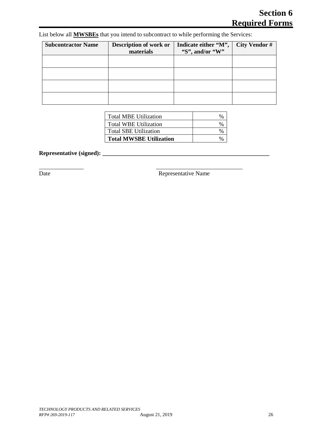| <b>Subcontractor Name</b> | Description of work or<br>materials | Indicate either "M",<br>"S", and/or "W" | <b>City Vendor #</b> |
|---------------------------|-------------------------------------|-----------------------------------------|----------------------|
|                           |                                     |                                         |                      |
|                           |                                     |                                         |                      |
|                           |                                     |                                         |                      |
|                           |                                     |                                         |                      |

List below all **MWSBEs** that you intend to subcontract to while performing the Services:

\_\_\_\_\_\_\_\_\_\_\_\_\_\_\_ \_\_\_\_\_\_\_\_\_\_\_\_\_\_\_\_\_\_\_\_\_\_\_\_\_\_\_\_\_

| l Total MBE Utilization        | $\%$ |
|--------------------------------|------|
| Total WBE Utilization          | $\%$ |
| Total SBE Utilization          | $\%$ |
| <b>Total MWSBE Utilization</b> |      |

**Representative (signed): \_\_\_\_\_\_\_\_\_\_\_\_\_\_\_\_\_\_\_\_\_\_\_\_\_\_\_\_\_\_\_\_\_\_\_\_\_\_\_\_\_\_\_\_\_\_\_\_\_\_\_\_\_\_\_\_**

Date Representative Name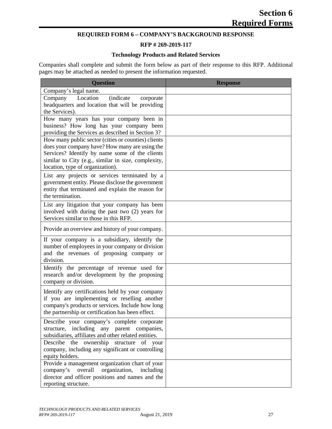### **REQUIRED FORM 6 – COMPANY'S BACKGROUND RESPONSE**

#### **RFP # 269-2019-117**

#### **Technology Products and Related Services**

<span id="page-32-0"></span>Companies shall complete and submit the form below as part of their response to this RFP. Additional pages may be attached as needed to present the information requested.

| <b>Question</b>                                                                                                                                                                                                                                    | <b>Response</b> |
|----------------------------------------------------------------------------------------------------------------------------------------------------------------------------------------------------------------------------------------------------|-----------------|
| Company's legal name.                                                                                                                                                                                                                              |                 |
| <i>(indicate)</i><br>Location<br>Company<br>corporate<br>headquarters and location that will be providing<br>the Services).                                                                                                                        |                 |
| How many years has your company been in<br>business? How long has your company been<br>providing the Services as described in Section 3?                                                                                                           |                 |
| How many public sector (cities or counties) clients<br>does your company have? How many are using the<br>Services? Identify by name some of the clients<br>similar to City (e.g., similar in size, complexity,<br>location, type of organization). |                 |
| List any projects or services terminated by a<br>government entity. Please disclose the government<br>entity that terminated and explain the reason for<br>the termination.                                                                        |                 |
| List any litigation that your company has been<br>involved with during the past two (2) years for<br>Services similar to those in this RFP.                                                                                                        |                 |
| Provide an overview and history of your company.                                                                                                                                                                                                   |                 |
| If your company is a subsidiary, identify the<br>number of employees in your company or division<br>and the revenues of proposing company or<br>division.                                                                                          |                 |
| Identify the percentage of revenue used for<br>research and/or development by the proposing<br>company or division.                                                                                                                                |                 |
| Identify any certifications held by your company<br>if you are implementing or reselling another<br>company's products or services. Include how long<br>the partnership or certification has been effect.                                          |                 |
| Describe your company's complete corporate<br>structure, including any parent companies,<br>subsidiaries, affiliates and other related entities.                                                                                                   |                 |
| Describe<br>ownership<br>the<br>structure<br>of<br>your<br>company, including any significant or controlling<br>equity holders.                                                                                                                    |                 |
| Provide a management organization chart of your<br>company's overall<br>organization,<br>including<br>director and officer positions and names and the<br>reporting structure.                                                                     |                 |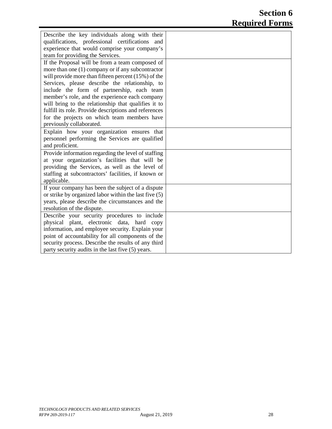| Describe the key individuals along with their<br>qualifications, professional certifications<br>and |  |
|-----------------------------------------------------------------------------------------------------|--|
| experience that would comprise your company's                                                       |  |
| team for providing the Services.                                                                    |  |
| If the Proposal will be from a team composed of                                                     |  |
| more than one $(1)$ company or if any subcontractor                                                 |  |
| will provide more than fifteen percent $(15%)$ of the                                               |  |
|                                                                                                     |  |
| Services, please describe the relationship, to                                                      |  |
| include the form of partnership, each team                                                          |  |
| member's role, and the experience each company                                                      |  |
| will bring to the relationship that qualifies it to                                                 |  |
| fulfill its role. Provide descriptions and references                                               |  |
| for the projects on which team members have                                                         |  |
| previously collaborated.                                                                            |  |
| Explain how your organization ensures that                                                          |  |
| personnel performing the Services are qualified                                                     |  |
| and proficient.                                                                                     |  |
| Provide information regarding the level of staffing                                                 |  |
| at your organization's facilities that will be                                                      |  |
| providing the Services, as well as the level of                                                     |  |
| staffing at subcontractors' facilities, if known or                                                 |  |
| applicable.                                                                                         |  |
| If your company has been the subject of a dispute                                                   |  |
| or strike by organized labor within the last five (5)                                               |  |
| years, please describe the circumstances and the                                                    |  |
| resolution of the dispute.                                                                          |  |
| Describe your security procedures to include                                                        |  |
| physical plant, electronic data, hard copy                                                          |  |
| information, and employee security. Explain your                                                    |  |
| point of accountability for all components of the                                                   |  |
| security process. Describe the results of any third                                                 |  |
| party security audits in the last five (5) years.                                                   |  |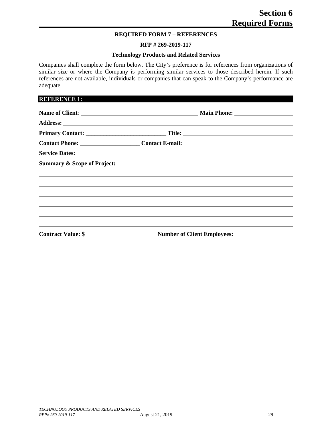#### **REQUIRED FORM 7 – REFERENCES**

#### **RFP # 269-2019-117**

#### **Technology Products and Related Services**

<span id="page-34-0"></span>Companies shall complete the form below. The City's preference is for references from organizations of similar size or where the Company is performing similar services to those described herein. If such references are not available, individuals or companies that can speak to the Company's performance are adequate.

#### **REFERENCE 1:**

| Service Dates: <u>New York: New York: New York: New York: New York: New York: New York: New York: New York: New York: New York: New York: New York: New York: New York: New York: New York: New York: New York: New York: New Yo</u> |  |
|--------------------------------------------------------------------------------------------------------------------------------------------------------------------------------------------------------------------------------------|--|
|                                                                                                                                                                                                                                      |  |
|                                                                                                                                                                                                                                      |  |
| <u>,这些人都是一个人的人,我们就是一个人的人,我们就是一个人的人,我们就是一个人的人,我们就是一个人的人,我们就是一个人的人,我们就是一个人的人,</u>                                                                                                                                                      |  |
| <u> 1999 - Andrea Santa Andrea Santa Andrea Santa Andrea Santa Andrea Santa Andrea Santa Andrea Santa Andrea San</u>                                                                                                                 |  |
| <u> 1989 - Andrea Santa Andrea Santa Andrea Santa Andrea Santa Andrea Santa Andrea Santa Andrea Santa Andrea San</u>                                                                                                                 |  |
|                                                                                                                                                                                                                                      |  |
|                                                                                                                                                                                                                                      |  |
|                                                                                                                                                                                                                                      |  |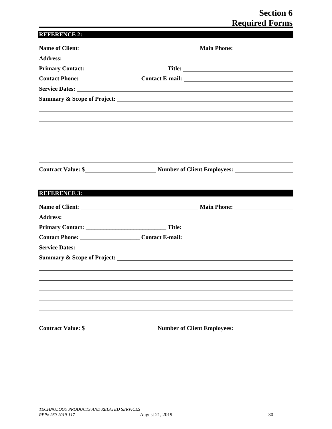## **Section 6 Required Forms**

## **REFERENCE 2:**

|                           | Contact Phone: __________________________Contact E-mail: ________________________ |
|---------------------------|-----------------------------------------------------------------------------------|
|                           |                                                                                   |
|                           |                                                                                   |
|                           |                                                                                   |
|                           |                                                                                   |
|                           |                                                                                   |
|                           |                                                                                   |
|                           |                                                                                   |
|                           |                                                                                   |
|                           | Contract Value: \$ Number of Client Employees:                                    |
|                           |                                                                                   |
| <b>REFERENCE 3:</b>       |                                                                                   |
|                           |                                                                                   |
|                           |                                                                                   |
|                           |                                                                                   |
|                           |                                                                                   |
|                           |                                                                                   |
|                           |                                                                                   |
|                           |                                                                                   |
|                           |                                                                                   |
|                           |                                                                                   |
|                           |                                                                                   |
|                           |                                                                                   |
|                           |                                                                                   |
|                           |                                                                                   |
| <b>Contract Value: \$</b> | <b>Number of Client Employees:</b>                                                |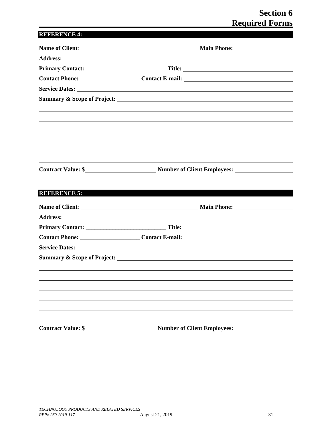# **Section 6 Required Forms**

# **REFERENCE 4:**

|                           | Contact Phone: __________________________Contact E-mail: ________________________ |
|---------------------------|-----------------------------------------------------------------------------------|
|                           |                                                                                   |
|                           |                                                                                   |
|                           |                                                                                   |
|                           |                                                                                   |
|                           |                                                                                   |
|                           |                                                                                   |
|                           |                                                                                   |
|                           |                                                                                   |
|                           |                                                                                   |
|                           |                                                                                   |
| <b>REFERENCE 5:</b>       |                                                                                   |
|                           |                                                                                   |
|                           |                                                                                   |
|                           |                                                                                   |
|                           |                                                                                   |
|                           |                                                                                   |
|                           |                                                                                   |
|                           |                                                                                   |
|                           |                                                                                   |
|                           |                                                                                   |
|                           |                                                                                   |
|                           |                                                                                   |
|                           |                                                                                   |
|                           |                                                                                   |
| <b>Contract Value: \$</b> | <b>Number of Client Employees:</b>                                                |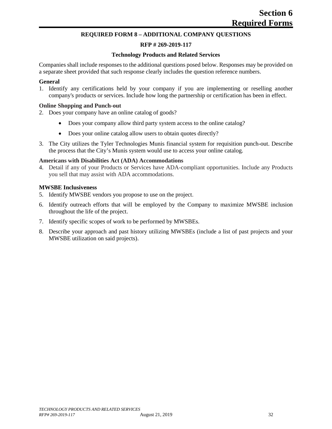#### **REQUIRED FORM 8 – ADDITIONAL COMPANY QUESTIONS**

### **RFP # 269-2019-117**

#### **Technology Products and Related Services**

Companies shall include responses to the additional questions posed below. Responses may be provided on a separate sheet provided that such response clearly includes the question reference numbers.

#### **General**

1. Identify any certifications held by your company if you are implementing or reselling another company's products or services. Include how long the partnership or certification has been in effect.

#### **Online Shopping and Punch-out**

- 2. Does your company have an online catalog of goods?
	- Does your company allow third party system access to the online catalog?
	- Does your online catalog allow users to obtain quotes directly?
- 3. The City utilizes the Tyler Technologies Munis financial system for requisition punch-out. Describe the process that the City's Munis system would use to access your online catalog.

#### **Americans with Disabilities Act (ADA) Accommodations**

4. Detail if any of your Products or Services have ADA-compliant opportunities. Include any Products you sell that may assist with ADA accommodations.

#### **MWSBE Inclusiveness**

- 5. Identify MWSBE vendors you propose to use on the project.
- 6. Identify outreach efforts that will be employed by the Company to maximize MWSBE inclusion throughout the life of the project.
- 7. Identify specific scopes of work to be performed by MWSBEs.
- 8. Describe your approach and past history utilizing MWSBEs (include a list of past projects and your MWSBE utilization on said projects).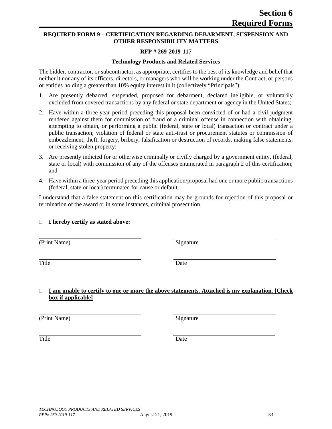# **REQUIRED FORM 9 – CERTIFICATION REGARDING DEBARMENT, SUSPENSION AND OTHER RESPONSIBILITY MATTERS**

# **RFP # 269-2019-117**

# **Technology Products and Related Services**

The bidder, contractor, or subcontractor, as appropriate, certifies to the best of its knowledge and belief that neither it nor any of its officers, directors, or managers who will be working under the Contract, or persons or entities holding a greater than 10% equity interest in it (collectively "Principals"):

- 1. Are presently debarred, suspended, proposed for debarment, declared ineligible, or voluntarily excluded from covered transactions by any federal or state department or agency in the United States;
- 2. Have within a three-year period preceding this proposal been convicted of or had a civil judgment rendered against them for commission of fraud or a criminal offense in connection with obtaining, attempting to obtain, or performing a public (federal, state or local) transaction or contract under a public transaction; violation of federal or state anti-trust or procurement statutes or commission of embezzlement, theft, forgery, bribery, falsification or destruction of records, making false statements, or receiving stolen property;
- 3. Are presently indicted for or otherwise criminally or civilly charged by a government entity, (federal, state or local) with commission of any of the offenses enumerated in paragraph 2 of this certification; and
- 4. Have within a three-year period preceding this application/proposal had one or more public transactions (federal, state or local) terminated for cause or default.

I understand that a false statement on this certification may be grounds for rejection of this proposal or termination of the award or in some instances, criminal prosecution.

# **I hereby certify as stated above:**

(Print Name) Signature

Title Date

# **I am unable to certify to one or more the above statements. Attached is my explanation. [Check box if applicable]**

(Print Name) Signature

Title Date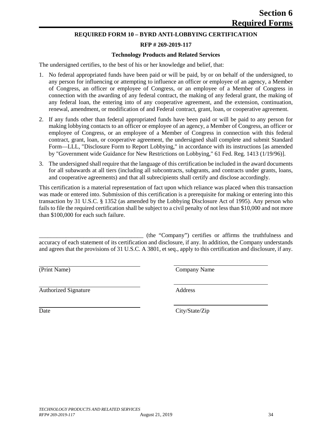#### **REQUIRED FORM 10 – BYRD ANTI-LOBBYING CERTIFICATION**

#### **RFP # 269-2019-117**

#### **Technology Products and Related Services**

The undersigned certifies, to the best of his or her knowledge and belief, that:

- 1. No federal appropriated funds have been paid or will be paid, by or on behalf of the undersigned, to any person for influencing or attempting to influence an officer or employee of an agency, a Member of Congress, an officer or employee of Congress, or an employee of a Member of Congress in connection with the awarding of any federal contract, the making of any federal grant, the making of any federal loan, the entering into of any cooperative agreement, and the extension, continuation, renewal, amendment, or modification of and Federal contract, grant, loan, or cooperative agreement.
- 2. If any funds other than federal appropriated funds have been paid or will be paid to any person for making lobbying contacts to an officer or employee of an agency, a Member of Congress, an officer or employee of Congress, or an employee of a Member of Congress in connection with this federal contract, grant, loan, or cooperative agreement, the undersigned shall complete and submit Standard Form—LLL, "Disclosure Form to Report Lobbying," in accordance with its instructions [as amended by "Government wide Guidance for New Restrictions on Lobbying," 61 Fed. Reg. 1413 (1/19/96)].
- 3. The undersigned shall require that the language of this certification be included in the award documents for all subawards at all tiers (including all subcontracts, subgrants, and contracts under grants, loans, and cooperative agreements) and that all subrecipients shall certify and disclose accordingly.

This certification is a material representation of fact upon which reliance was placed when this transaction was made or entered into. Submission of this certification is a prerequisite for making or entering into this transaction by 31 U.S.C. § 1352 (as amended by the Lobbying Disclosure Act of 1995). Any person who fails to file the required certification shall be subject to a civil penalty of not less than \$10,000 and not more than \$100,000 for each such failure.

\_\_\_\_\_\_\_\_\_\_\_\_\_\_\_\_\_\_\_\_\_\_\_\_\_\_\_\_\_\_\_\_\_\_\_ (the "Company") certifies or affirms the truthfulness and accuracy of each statement of its certification and disclosure, if any. In addition, the Company understands and agrees that the provisions of 31 U.S.C. A 3801, et seq., apply to this certification and disclosure, if any.

(Print Name) Company Name

Authorized Signature Address

Date City/State/Zip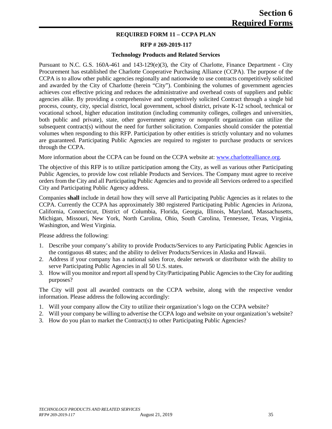### **REQUIRED FORM 11 – CCPA PLAN**

#### **RFP # 269-2019-117**

#### **Technology Products and Related Services**

Pursuant to N.C. G.S. 160A-461 and 143-129(e)(3), the City of Charlotte, Finance Department - City Procurement has established the Charlotte Cooperative Purchasing Alliance (CCPA). The purpose of the CCPA is to allow other public agencies regionally and nationwide to use contracts competitively solicited and awarded by the City of Charlotte (herein "City"). Combining the volumes of government agencies achieves cost effective pricing and reduces the administrative and overhead costs of suppliers and public agencies alike. By providing a comprehensive and competitively solicited Contract through a single bid process, county, city, special district, local government, school district, private K-12 school, technical or vocational school, higher education institution (including community colleges, colleges and universities, both public and private), state, other government agency or nonprofit organization can utilize the subsequent contract(s) without the need for further solicitation. Companies should consider the potential volumes when responding to this RFP. Participation by other entities is strictly voluntary and no volumes are guaranteed. Participating Public Agencies are required to register to purchase products or services through the CCPA.

More information about the CCPA can be found on the CCPA website at: [www.charlottealliance.org.](http://www.charlottealliance.org/)

The objective of this RFP is to utilize participation among the City, as well as various other Participating Public Agencies, to provide low cost reliable Products and Services. The Company must agree to receive orders from the City and all Participating Public Agencies and to provide all Services ordered to a specified City and Participating Public Agency address.

Companies **shall** include in detail how they will serve all Participating Public Agencies as it relates to the CCPA. Currently the CCPA has approximately 380 registered Participating Public Agencies in Arizona, California, Connecticut, District of Columbia, Florida, Georgia, Illinois, Maryland, Massachusetts, Michigan, Missouri, New York, North Carolina, Ohio, South Carolina, Tennessee, Texas, Virginia, Washington, and West Virginia.

Please address the following:

- 1. Describe your company's ability to provide Products/Services to any Participating Public Agencies in the contiguous 48 states; and the ability to deliver Products/Services in Alaska and Hawaii.
- 2. Address if your company has a national sales force, dealer network or distributor with the ability to serve Participating Public Agencies in all 50 U.S. states.
- 3. How will you monitor and report all spend by City/Participating Public Agencies to the City for auditing purposes?

The City will post all awarded contracts on the CCPA website, along with the respective vendor information. Please address the following accordingly:

- 1. Will your company allow the City to utilize their organization's logo on the CCPA website?
- 2. Will your company be willing to advertise the CCPA logo and website on your organization's website?
- 3. How do you plan to market the Contract(s) to other Participating Public Agencies?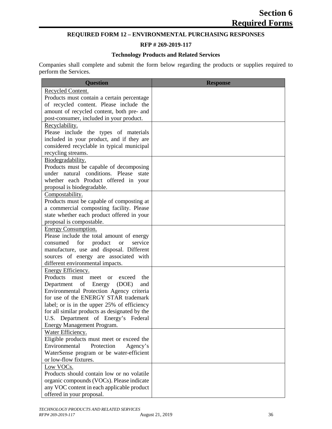# **REQUIRED FORM 12 – ENVIRONMENTAL PURCHASING RESPONSES**

# **RFP # 269-2019-117**

#### **Technology Products and Related Services**

Companies shall complete and submit the form below regarding the products or supplies required to perform the Services.

| <b>Question</b>                                                                      | <b>Response</b> |
|--------------------------------------------------------------------------------------|-----------------|
| <b>Recycled Content.</b>                                                             |                 |
| Products must contain a certain percentage                                           |                 |
| of recycled content. Please include the                                              |                 |
| amount of recycled content, both pre- and                                            |                 |
| post-consumer, included in your product.                                             |                 |
| Recyclability.                                                                       |                 |
| Please include the types of materials                                                |                 |
| included in your product, and if they are                                            |                 |
| considered recyclable in typical municipal                                           |                 |
| recycling streams.                                                                   |                 |
| Biodegradability.                                                                    |                 |
| Products must be capable of decomposing                                              |                 |
| under natural conditions. Please state                                               |                 |
| whether each Product offered in your                                                 |                 |
| proposal is biodegradable.                                                           |                 |
| Compostability.                                                                      |                 |
| Products must be capable of composting at                                            |                 |
| a commercial composting facility. Please                                             |                 |
| state whether each product offered in your                                           |                 |
| proposal is compostable.                                                             |                 |
| <b>Energy Consumption.</b>                                                           |                 |
| Please include the total amount of energy                                            |                 |
| for<br>service<br>consumed<br>product<br><b>or</b>                                   |                 |
| manufacture, use and disposal. Different                                             |                 |
| sources of energy are associated with                                                |                 |
| different environmental impacts.                                                     |                 |
| Energy Efficiency.                                                                   |                 |
| Products must meet or<br>exceed<br>the                                               |                 |
| of Energy<br>Department<br>(DOE)<br>and                                              |                 |
| Environmental Protection Agency criteria                                             |                 |
| for use of the ENERGY STAR trademark                                                 |                 |
| label; or is in the upper 25% of efficiency                                          |                 |
| for all similar products as designated by the<br>U.S. Department of Energy's Federal |                 |
| Energy Management Program.                                                           |                 |
| Water Efficiency.                                                                    |                 |
| Eligible products must meet or exceed the                                            |                 |
| Environmental<br>Protection<br>Agency's                                              |                 |
| WaterSense program or be water-efficient                                             |                 |
| or low-flow fixtures.                                                                |                 |
| Low VOCs.                                                                            |                 |
| Products should contain low or no volatile                                           |                 |
| organic compounds (VOCs). Please indicate                                            |                 |
| any VOC content in each applicable product                                           |                 |
| offered in your proposal.                                                            |                 |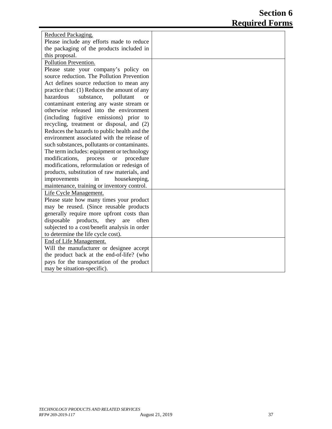| Reduced Packaging.                                    |  |
|-------------------------------------------------------|--|
| Please include any efforts made to reduce             |  |
| the packaging of the products included in             |  |
| this proposal.                                        |  |
| Pollution Prevention.                                 |  |
| Please state your company's policy on                 |  |
| source reduction. The Pollution Prevention            |  |
| Act defines source reduction to mean any              |  |
| practice that: (1) Reduces the amount of any          |  |
| hazardous<br>substance,<br>pollutant<br><sub>or</sub> |  |
| contaminant entering any waste stream or              |  |
| otherwise released into the environment               |  |
| (including fugitive emissions) prior to               |  |
| recycling, treatment or disposal, and (2)             |  |
| Reduces the hazards to public health and the          |  |
| environment associated with the release of            |  |
| such substances, pollutants or contaminants.          |  |
| The term includes: equipment or technology            |  |
| modifications,<br>process<br><b>or</b><br>procedure   |  |
| modifications, reformulation or redesign of           |  |
| products, substitution of raw materials, and          |  |
| housekeeping,<br>improvements<br>in                   |  |
| maintenance, training or inventory control.           |  |
| Life Cycle Management.                                |  |
| Please state how many times your product              |  |
| may be reused. (Since reusable products               |  |
| generally require more upfront costs than             |  |
| disposable<br>products, they are<br>often             |  |
| subjected to a cost/benefit analysis in order         |  |
| to determine the life cycle cost).                    |  |
| End of Life Management.                               |  |
| Will the manufacturer or designee accept              |  |
| the product back at the end-of-life? (who             |  |
| pays for the transportation of the product            |  |
| may be situation-specific).                           |  |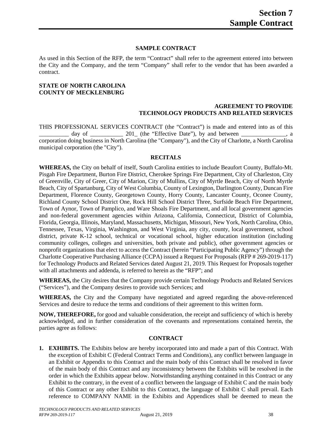### **SAMPLE CONTRACT**

As used in this Section of the RFP, the term "Contract" shall refer to the agreement entered into between the City and the Company, and the term "Company" shall refer to the vendor that has been awarded a contract.

#### **STATE OF NORTH CAROLINA COUNTY OF MECKLENBURG**

#### **AGREEMENT TO PROVIDE TECHNOLOGY PRODUCTS AND RELATED SERVICES**

THIS PROFESSIONAL SERVICES CONTRACT (the "Contract") is made and entered into as of this day of \_\_\_\_\_\_\_\_\_\_ 201\_ (the "Effective Date"), by and between  $\_\_$ corporation doing business in North Carolina (the "Company"), and the City of Charlotte, a North Carolina municipal corporation (the "City").

#### **RECITALS**

**WHEREAS,** the City on behalf of itself, South Carolina entities to include Beaufort County, Buffalo-Mt. Pisgah Fire Department, Burton Fire District, Cherokee Springs Fire Department, City of Charleston, City of Greenville, City of Greer, City of Marion, City of Mullins, City of Myrtle Beach, City of North Myrtle Beach, City of Spartanburg, City of West Columbia, County of Lexington, Darlington County, Duncan Fire Department, Florence County, Georgetown County, Horry County, Lancaster County, Oconee County, Richland County School District One, Rock Hill School District Three, Surfside Beach Fire Department, Town of Aynor, Town of Pamplico, and Ware Shoals Fire Department, and all local government agencies and non-federal government agencies within Arizona, California, Connecticut, District of Columbia, Florida, Georgia, Illinois, Maryland, Massachusetts, Michigan, Missouri, New York, North Carolina, Ohio, Tennessee, Texas, Virginia, Washington, and West Virginia, any city, county, local government, school district, private K-12 school, technical or vocational school, higher education institution (including community colleges, colleges and universities, both private and public), other government agencies or nonprofit organizations that elect to access the Contract (herein "Participating Public Agency") through the Charlotte Cooperative Purchasing Alliance (CCPA) issued a Request For Proposals (RFP # 269-2019-117) for Technology Products and Related Services dated August 21, 2019. This Request for Proposals together with all attachments and addenda, is referred to herein as the "RFP"; and

**WHEREAS,** the City desires that the Company provide certain Technology Products and Related Services ("Services"), and the Company desires to provide such Services; and

**WHEREAS,** the City and the Company have negotiated and agreed regarding the above-referenced Services and desire to reduce the terms and conditions of their agreement to this written form.

**NOW, THEREFORE,** for good and valuable consideration, the receipt and sufficiency of which is hereby acknowledged, and in further consideration of the covenants and representations contained herein, the parties agree as follows:

#### **CONTRACT**

**1. EXHIBITS.** The Exhibits below are hereby incorporated into and made a part of this Contract. With the exception of Exhibit C (Federal Contract Terms and Conditions), any conflict between language in an Exhibit or Appendix to this Contract and the main body of this Contract shall be resolved in favor of the main body of this Contract and any inconsistency between the Exhibits will be resolved in the order in which the Exhibits appear below. Notwithstanding anything contained in this Contract or any Exhibit to the contrary, in the event of a conflict between the language of Exhibit C and the main body of this Contract or any other Exhibit to this Contract, the language of Exhibit C shall prevail. Each reference to COMPANY NAME in the Exhibits and Appendices shall be deemed to mean the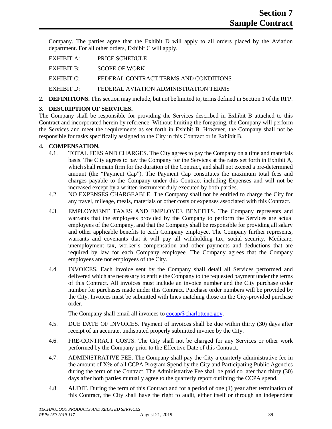Company. The parties agree that the Exhibit D will apply to all orders placed by the Aviation department. For all other orders, Exhibit C will apply.

| EXHIBIT A: PRICE SCHEDULE                        |
|--------------------------------------------------|
| EXHIBIT B: SCOPE OF WORK                         |
| EXHIBIT C: FEDERAL CONTRACT TERMS AND CONDITIONS |
| EXHIBIT D: FEDERAL AVIATION ADMINISTRATION TERMS |
|                                                  |

**2. DEFINITIONS.** This section may include, but not be limited to, terms defined in Section 1 of the RFP.

# **3. DESCRIPTION OF SERVICES.**

The Company shall be responsible for providing the Services described in Exhibit B attached to this Contract and incorporated herein by reference. Without limiting the foregoing, the Company will perform the Services and meet the requirements as set forth in Exhibit B. However, the Company shall not be responsible for tasks specifically assigned to the City in this Contract or in Exhibit B.

# **4. COMPENSATION.**

- 4.1. TOTAL FEES AND CHARGES. The City agrees to pay the Company on a time and materials basis. The City agrees to pay the Company for the Services at the rates set forth in Exhibit A, which shall remain firm for the duration of the Contract, and shall not exceed a pre-determined amount (the "Payment Cap"). The Payment Cap constitutes the maximum total fees and charges payable to the Company under this Contract including Expenses and will not be increased except by a written instrument duly executed by both parties.
- 4.2. NO EXPENSES CHARGEABLE. The Company shall not be entitled to charge the City for any travel, mileage, meals, materials or other costs or expenses associated with this Contract.
- 4.3. EMPLOYMENT TAXES AND EMPLOYEE BENEFITS. The Company represents and warrants that the employees provided by the Company to perform the Services are actual employees of the Company, and that the Company shall be responsible for providing all salary and other applicable benefits to each Company employee. The Company further represents, warrants and covenants that it will pay all withholding tax, social security, Medicare, unemployment tax, worker's compensation and other payments and deductions that are required by law for each Company employee. The Company agrees that the Company employees are not employees of the City.
- 4.4. INVOICES. Each invoice sent by the Company shall detail all Services performed and delivered which are necessary to entitle the Company to the requested payment under the terms of this Contract. All invoices must include an invoice number and the City purchase order number for purchases made under this Contract. Purchase order numbers will be provided by the City. Invoices must be submitted with lines matching those on the City-provided purchase order.

The Company shall email all invoices to [cocap@charlottenc.gov.](mailto:cocap@charlottenc.gov)

- 4.5. DUE DATE OF INVOICES. Payment of invoices shall be due within thirty (30) days after receipt of an accurate, undisputed properly submitted invoice by the City.
- 4.6. PRE-CONTRACT COSTS. The City shall not be charged for any Services or other work performed by the Company prior to the Effective Date of this Contract.
- 4.7. ADMINISTRATIVE FEE. The Company shall pay the City a quarterly administrative fee in the amount of X% of all CCPA Program Spend by the City and Participating Public Agencies during the term of the Contract. The Administrative Fee shall be paid no later than thirty (30) days after both parties mutually agree to the quarterly report outlining the CCPA spend.
- 4.8. AUDIT. During the term of this Contract and for a period of one (1) year after termination of this Contract, the City shall have the right to audit, either itself or through an independent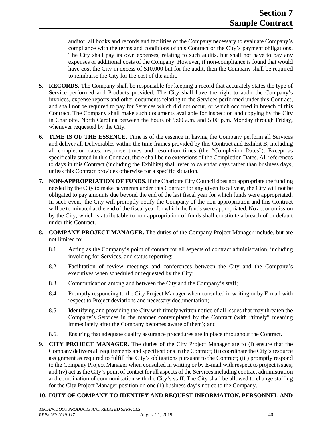auditor, all books and records and facilities of the Company necessary to evaluate Company's compliance with the terms and conditions of this Contract or the City's payment obligations. The City shall pay its own expenses, relating to such audits, but shall not have to pay any expenses or additional costs of the Company. However, if non-compliance is found that would have cost the City in excess of \$10,000 but for the audit, then the Company shall be required to reimburse the City for the cost of the audit.

- **5. RECORDS.** The Company shall be responsible for keeping a record that accurately states the type of Service performed and Products provided. The City shall have the right to audit the Company's invoices, expense reports and other documents relating to the Services performed under this Contract, and shall not be required to pay for Services which did not occur, or which occurred in breach of this Contract. The Company shall make such documents available for inspection and copying by the City in Charlotte, North Carolina between the hours of 9:00 a.m. and 5:00 p.m. Monday through Friday, whenever requested by the City.
- **6. TIME IS OF THE ESSENCE.** Time is of the essence in having the Company perform all Services and deliver all Deliverables within the time frames provided by this Contract and Exhibit B, including all completion dates, response times and resolution times (the "Completion Dates"). Except as specifically stated in this Contract, there shall be no extensions of the Completion Dates. All references to days in this Contract (including the Exhibits) shall refer to calendar days rather than business days, unless this Contract provides otherwise for a specific situation.
- **7. NON-APPROPRIATION OF FUNDS.** If the Charlotte City Council does not appropriate the funding needed by the City to make payments under this Contract for any given fiscal year, the City will not be obligated to pay amounts due beyond the end of the last fiscal year for which funds were appropriated. In such event, the City will promptly notify the Company of the non-appropriation and this Contract will be terminated at the end of the fiscal year for which the funds were appropriated. No act or omission by the City, which is attributable to non-appropriation of funds shall constitute a breach of or default under this Contract.
- **8. COMPANY PROJECT MANAGER.** The duties of the Company Project Manager include, but are not limited to:
	- 8.1. Acting as the Company's point of contact for all aspects of contract administration, including invoicing for Services, and status reporting;
	- 8.2. Facilitation of review meetings and conferences between the City and the Company's executives when scheduled or requested by the City;
	- 8.3. Communication among and between the City and the Company's staff;
	- 8.4. Promptly responding to the City Project Manager when consulted in writing or by E-mail with respect to Project deviations and necessary documentation;
	- 8.5. Identifying and providing the City with timely written notice of all issues that may threaten the Company's Services in the manner contemplated by the Contract (with "timely" meaning immediately after the Company becomes aware of them); and
	- 8.6. Ensuring that adequate quality assurance procedures are in place throughout the Contract.
- **9. CITY PROJECT MANAGER.** The duties of the City Project Manager are to (i) ensure that the Company delivers all requirements and specifications in the Contract; (ii) coordinate the City's resource assignment as required to fulfill the City's obligations pursuant to the Contract; (iii) promptly respond to the Company Project Manager when consulted in writing or by E-mail with respect to project issues; and (iv) act as the City's point of contact for all aspects of the Servicesincluding contract administration and coordination of communication with the City's staff. The City shall be allowed to change staffing for the City Project Manager position on one (1) business day's notice to the Company.

# **10. DUTY OF COMPANY TO IDENTIFY AND REQUEST INFORMATION, PERSONNEL AND**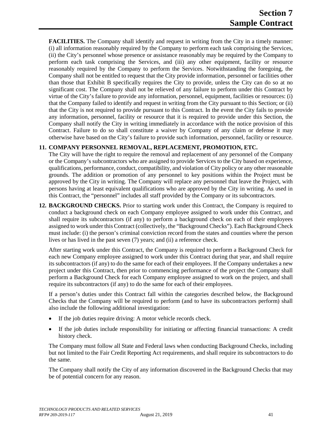**FACILITIES.** The Company shall identify and request in writing from the City in a timely manner: (i) all information reasonably required by the Company to perform each task comprising the Services, (ii) the City's personnel whose presence or assistance reasonably may be required by the Company to perform each task comprising the Services, and (iii) any other equipment, facility or resource reasonably required by the Company to perform the Services. Notwithstanding the foregoing, the Company shall not be entitled to request that the City provide information, personnel or facilities other than those that Exhibit B specifically requires the City to provide, unless the City can do so at no significant cost. The Company shall not be relieved of any failure to perform under this Contract by virtue of the City's failure to provide any information, personnel, equipment, facilities or resources: (i) that the Company failed to identify and request in writing from the City pursuant to this Section; or (ii) that the City is not required to provide pursuant to this Contract. In the event the City fails to provide any information, personnel, facility or resource that it is required to provide under this Section, the Company shall notify the City in writing immediately in accordance with the notice provision of this Contract. Failure to do so shall constitute a waiver by Company of any claim or defense it may otherwise have based on the City's failure to provide such information, personnel, facility or resource.

# **11. COMPANY PERSONNEL REMOVAL, REPLACEMENT, PROMOTION, ETC.**

The City will have the right to require the removal and replacement of any personnel of the Company or the Company's subcontractors who are assigned to provide Services to the City based on experience, qualifications, performance, conduct, compatibility, and violation of City policy or any other reasonable grounds. The addition or promotion of any personnel to key positions within the Project must be approved by the City in writing. The Company will replace any personnel that leave the Project, with persons having at least equivalent qualifications who are approved by the City in writing. As used in this Contract, the "personnel" includes all staff provided by the Company or its subcontractors.

**12. BACKGROUND CHECKS.** Prior to starting work under this Contract, the Company is required to conduct a background check on each Company employee assigned to work under this Contract, and shall require its subcontractors (if any) to perform a background check on each of their employees assigned to work under this Contract (collectively, the "Background Checks"). Each Background Check must include: (i) the person's criminal conviction record from the states and counties where the person lives or has lived in the past seven (7) years; and (ii) a reference check.

After starting work under this Contract, the Company is required to perform a Background Check for each new Company employee assigned to work under this Contract during that year, and shall require its subcontractors (if any) to do the same for each of their employees. If the Company undertakes a new project under this Contract, then prior to commencing performance of the project the Company shall perform a Background Check for each Company employee assigned to work on the project, and shall require its subcontractors (if any) to do the same for each of their employees.

If a person's duties under this Contract fall within the categories described below, the Background Checks that the Company will be required to perform (and to have its subcontractors perform) shall also include the following additional investigation:

- If the job duties require driving: A motor vehicle records check.
- If the job duties include responsibility for initiating or affecting financial transactions: A credit history check.

The Company must follow all State and Federal laws when conducting Background Checks, including but not limited to the Fair Credit Reporting Act requirements, and shall require its subcontractors to do the same.

The Company shall notify the City of any information discovered in the Background Checks that may be of potential concern for any reason.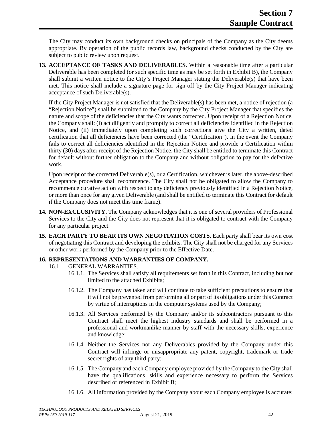The City may conduct its own background checks on principals of the Company as the City deems appropriate. By operation of the public records law, background checks conducted by the City are subject to public review upon request.

**13. ACCEPTANCE OF TASKS AND DELIVERABLES.** Within a reasonable time after a particular Deliverable has been completed (or such specific time as may be set forth in Exhibit B), the Company shall submit a written notice to the City's Project Manager stating the Deliverable(s) that have been met. This notice shall include a signature page for sign-off by the City Project Manager indicating acceptance of such Deliverable(s).

If the City Project Manager is not satisfied that the Deliverable(s) has been met, a notice of rejection (a "Rejection Notice") shall be submitted to the Company by the City Project Manager that specifies the nature and scope of the deficiencies that the City wants corrected. Upon receipt of a Rejection Notice, the Company shall: (i) act diligently and promptly to correct all deficiencies identified in the Rejection Notice, and (ii) immediately upon completing such corrections give the City a written, dated certification that all deficiencies have been corrected (the "Certification"). In the event the Company fails to correct all deficiencies identified in the Rejection Notice and provide a Certification within thirty (30) days after receipt of the Rejection Notice, the City shall be entitled to terminate this Contract for default without further obligation to the Company and without obligation to pay for the defective work.

Upon receipt of the corrected Deliverable(s), or a Certification, whichever is later, the above-described Acceptance procedure shall recommence. The City shall not be obligated to allow the Company to recommence curative action with respect to any deficiency previously identified in a Rejection Notice, or more than once for any given Deliverable (and shall be entitled to terminate this Contract for default if the Company does not meet this time frame).

- **14. NON-EXCLUSIVITY.** The Company acknowledges that it is one of several providers of Professional Services to the City and the City does not represent that it is obligated to contract with the Company for any particular project.
- **15. EACH PARTY TO BEAR ITS OWN NEGOTIATION COSTS.** Each party shall bear its own cost of negotiating this Contract and developing the exhibits. The City shall not be charged for any Services or other work performed by the Company prior to the Effective Date.

# **16. REPRESENTATIONS AND WARRANTIES OF COMPANY.**

- 16.1. GENERAL WARRANTIES.
	- 16.1.1. The Services shall satisfy all requirements set forth in this Contract, including but not limited to the attached Exhibits;
	- 16.1.2. The Company has taken and will continue to take sufficient precautions to ensure that it will not be prevented from performing all or part of its obligations under this Contract by virtue of interruptions in the computer systems used by the Company;
	- 16.1.3. All Services performed by the Company and/or its subcontractors pursuant to this Contract shall meet the highest industry standards and shall be performed in a professional and workmanlike manner by staff with the necessary skills, experience and knowledge;
	- 16.1.4. Neither the Services nor any Deliverables provided by the Company under this Contract will infringe or misappropriate any patent, copyright, trademark or trade secret rights of any third party;
	- 16.1.5. The Company and each Company employee provided by the Company to the City shall have the qualifications, skills and experience necessary to perform the Services described or referenced in Exhibit B;
	- 16.1.6. All information provided by the Company about each Company employee is accurate;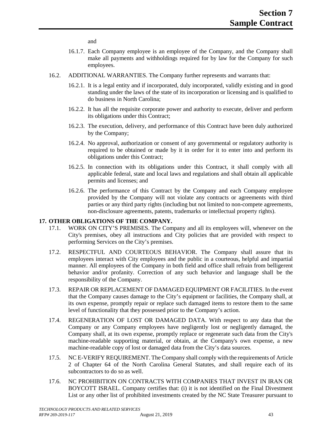and

- 16.1.7. Each Company employee is an employee of the Company, and the Company shall make all payments and withholdings required for by law for the Company for such employees.
- 16.2. ADDITIONAL WARRANTIES. The Company further represents and warrants that:
	- 16.2.1. It is a legal entity and if incorporated, duly incorporated, validly existing and in good standing under the laws of the state of its incorporation or licensing and is qualified to do business in North Carolina;
	- 16.2.2. It has all the requisite corporate power and authority to execute, deliver and perform its obligations under this Contract;
	- 16.2.3. The execution, delivery, and performance of this Contract have been duly authorized by the Company;
	- 16.2.4. No approval, authorization or consent of any governmental or regulatory authority is required to be obtained or made by it in order for it to enter into and perform its obligations under this Contract;
	- 16.2.5. In connection with its obligations under this Contract, it shall comply with all applicable federal, state and local laws and regulations and shall obtain all applicable permits and licenses; and
	- 16.2.6. The performance of this Contract by the Company and each Company employee provided by the Company will not violate any contracts or agreements with third parties or any third party rights (including but not limited to non-compete agreements, non-disclosure agreements, patents, trademarks or intellectual property rights).

#### **17. OTHER OBLIGATIONS OF THE COMPANY.**

- 17.1. WORK ON CITY'S PREMISES. The Company and all its employees will, whenever on the City's premises, obey all instructions and City policies that are provided with respect to performing Services on the City's premises.
- 17.2. RESPECTFUL AND COURTEOUS BEHAVIOR. The Company shall assure that its employees interact with City employees and the public in a courteous, helpful and impartial manner. All employees of the Company in both field and office shall refrain from belligerent behavior and/or profanity. Correction of any such behavior and language shall be the responsibility of the Company.
- 17.3. REPAIR OR REPLACEMENT OF DAMAGED EQUIPMENT OR FACILITIES. In the event that the Company causes damage to the City's equipment or facilities, the Company shall, at its own expense, promptly repair or replace such damaged items to restore them to the same level of functionality that they possessed prior to the Company's action.
- 17.4. REGENERATION OF LOST OR DAMAGED DATA. With respect to any data that the Company or any Company employees have negligently lost or negligently damaged, the Company shall, at its own expense, promptly replace or regenerate such data from the City's machine-readable supporting material, or obtain, at the Company's own expense, a new machine-readable copy of lost or damaged data from the City's data sources.
- 17.5. NC E-VERIFY REQUIREMENT. The Company shall comply with the requirements of Article 2 of Chapter 64 of the North Carolina General Statutes, and shall require each of its subcontractors to do so as well.
- 17.6. NC PROHIBITION ON CONTRACTS WITH COMPANIES THAT INVEST IN IRAN OR BOYCOTT ISRAEL. Company certifies that: (i) it is not identified on the Final Divestment List or any other list of prohibited investments created by the NC State Treasurer pursuant to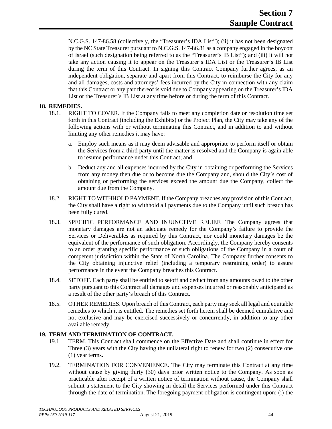N.C.G.S. 147-86.58 (collectively, the "Treasurer's IDA List"); (ii) it has not been designated by the NC State Treasurer pursuant to N.C.G.S. 147-86.81 as a company engaged in the boycott of Israel (such designation being referred to as the "Treasurer's IB List"); and (iii) it will not take any action causing it to appear on the Treasurer's IDA List or the Treasurer's IB List during the term of this Contract. In signing this Contract Company further agrees, as an independent obligation, separate and apart from this Contract, to reimburse the City for any and all damages, costs and attorneys' fees incurred by the City in connection with any claim that this Contract or any part thereof is void due to Company appearing on the Treasurer's IDA List or the Treasurer's IB List at any time before or during the term of this Contract.

#### **18. REMEDIES.**

- 18.1. RIGHT TO COVER. If the Company fails to meet any completion date or resolution time set forth in this Contract (including the Exhibits) or the Project Plan, the City may take any of the following actions with or without terminating this Contract, and in addition to and without limiting any other remedies it may have:
	- a. Employ such means as it may deem advisable and appropriate to perform itself or obtain the Services from a third party until the matter is resolved and the Company is again able to resume performance under this Contract; and
	- b. Deduct any and all expenses incurred by the City in obtaining or performing the Services from any money then due or to become due the Company and, should the City's cost of obtaining or performing the services exceed the amount due the Company, collect the amount due from the Company.
- 18.2. RIGHT TO WITHHOLD PAYMENT. If the Company breaches any provision of this Contract, the City shall have a right to withhold all payments due to the Company until such breach has been fully cured.
- 18.3. SPECIFIC PERFORMANCE AND INJUNCTIVE RELIEF. The Company agrees that monetary damages are not an adequate remedy for the Company's failure to provide the Services or Deliverables as required by this Contract, nor could monetary damages be the equivalent of the performance of such obligation. Accordingly, the Company hereby consents to an order granting specific performance of such obligations of the Company in a court of competent jurisdiction within the State of North Carolina. The Company further consents to the City obtaining injunctive relief (including a temporary restraining order) to assure performance in the event the Company breaches this Contract.
- 18.4. SETOFF. Each party shall be entitled to setoff and deduct from any amounts owed to the other party pursuant to this Contract all damages and expenses incurred or reasonably anticipated as a result of the other party's breach of this Contract.
- 18.5. OTHER REMEDIES. Upon breach of this Contract, each party may seek all legal and equitable remedies to which it is entitled. The remedies set forth herein shall be deemed cumulative and not exclusive and may be exercised successively or concurrently, in addition to any other available remedy.

# **19. TERM AND TERMINATION OF CONTRACT.**

- 19.1. TERM. This Contract shall commence on the Effective Date and shall continue in effect for Three (3) years with the City having the unilateral right to renew for two (2) consecutive one (1) year terms.
- 19.2. TERMINATION FOR CONVENIENCE. The City may terminate this Contract at any time without cause by giving thirty (30) days prior written notice to the Company. As soon as practicable after receipt of a written notice of termination without cause, the Company shall submit a statement to the City showing in detail the Services performed under this Contract through the date of termination. The foregoing payment obligation is contingent upon: (i) the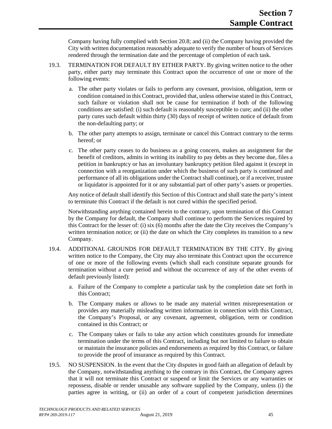Company having fully complied with Section 20.8; and (ii) the Company having provided the City with written documentation reasonably adequate to verify the number of hours of Services rendered through the termination date and the percentage of completion of each task.

- 19.3. TERMINATION FOR DEFAULT BY EITHER PARTY. By giving written notice to the other party, either party may terminate this Contract upon the occurrence of one or more of the following events:
	- a. The other party violates or fails to perform any covenant, provision, obligation, term or condition contained in this Contract, provided that, unless otherwise stated in this Contract, such failure or violation shall not be cause for termination if both of the following conditions are satisfied: (i) such default is reasonably susceptible to cure; and (ii) the other party cures such default within thirty (30) days of receipt of written notice of default from the non-defaulting party; or
	- b. The other party attempts to assign, terminate or cancel this Contract contrary to the terms hereof; or
	- c. The other party ceases to do business as a going concern, makes an assignment for the benefit of creditors, admits in writing its inability to pay debts as they become due, files a petition in bankruptcy or has an involuntary bankruptcy petition filed against it (except in connection with a reorganization under which the business of such party is continued and performance of all its obligations under the Contract shall continue), or if a receiver, trustee or liquidator is appointed for it or any substantial part of other party's assets or properties.

Any notice of default shall identify this Section of this Contract and shall state the party's intent to terminate this Contract if the default is not cured within the specified period.

Notwithstanding anything contained herein to the contrary, upon termination of this Contract by the Company for default, the Company shall continue to perform the Services required by this Contract for the lesser of: (i) six (6) months after the date the City receives the Company's written termination notice; or (ii) the date on which the City completes its transition to a new Company.

- 19.4. ADDITIONAL GROUNDS FOR DEFAULT TERMINATION BY THE CITY. By giving written notice to the Company, the City may also terminate this Contract upon the occurrence of one or more of the following events (which shall each constitute separate grounds for termination without a cure period and without the occurrence of any of the other events of default previously listed):
	- a. Failure of the Company to complete a particular task by the completion date set forth in this Contract;
	- b. The Company makes or allows to be made any material written misrepresentation or provides any materially misleading written information in connection with this Contract, the Company's Proposal, or any covenant, agreement, obligation, term or condition contained in this Contract; or
	- c. The Company takes or fails to take any action which constitutes grounds for immediate termination under the terms of this Contract, including but not limited to failure to obtain or maintain the insurance policies and endorsements as required by this Contract, or failure to provide the proof of insurance as required by this Contract.
- 19.5. NO SUSPENSION. In the event that the City disputes in good faith an allegation of default by the Company, notwithstanding anything to the contrary in this Contract, the Company agrees that it will not terminate this Contract or suspend or limit the Services or any warranties or repossess, disable or render unusable any software supplied by the Company, unless (i) the parties agree in writing, or (ii) an order of a court of competent jurisdiction determines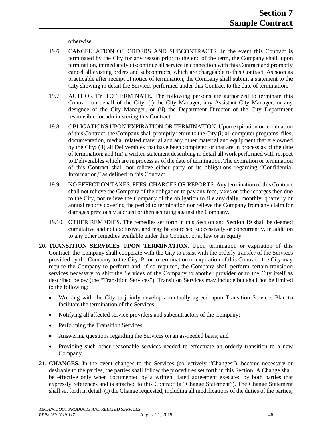otherwise.

- 19.6. CANCELLATION OF ORDERS AND SUBCONTRACTS. In the event this Contract is terminated by the City for any reason prior to the end of the term, the Company shall, upon termination, immediately discontinue all service in connection with this Contract and promptly cancel all existing orders and subcontracts, which are chargeable to this Contract. As soon as practicable after receipt of notice of termination, the Company shall submit a statement to the City showing in detail the Services performed under this Contract to the date of termination.
- 19.7. AUTHORITY TO TERMINATE. The following persons are authorized to terminate this Contract on behalf of the City: (i) the City Manager, any Assistant City Manager, or any designee of the City Manager; or (ii) the Department Director of the City Department responsible for administering this Contract.
- 19.8. OBLIGATIONS UPON EXPIRATION OR TERMINATION. Upon expiration or termination of this Contract, the Company shall promptly return to the City (i) all computer programs, files, documentation, media, related material and any other material and equipment that are owned by the City; (ii) all Deliverables that have been completed or that are in process as of the date of termination; and (iii) a written statement describing in detail all work performed with respect to Deliverables which are in process as of the date of termination. The expiration or termination of this Contract shall not relieve either party of its obligations regarding "Confidential Information," as defined in this Contract.
- 19.9. NO EFFECT ON TAXES, FEES, CHARGES OR REPORTS. Any termination of this Contract shall not relieve the Company of the obligation to pay any fees, taxes or other charges then due to the City, nor relieve the Company of the obligation to file any daily, monthly, quarterly or annual reports covering the period to termination nor relieve the Company from any claim for damages previously accrued or then accruing against the Company.
- 19.10. OTHER REMEDIES. The remedies set forth in this Section and Section 19 shall be deemed cumulative and not exclusive, and may be exercised successively or concurrently, in addition to any other remedies available under this Contract or at law or in equity.
- **20. TRANSITION SERVICES UPON TERMINATION.** Upon termination or expiration of this Contract, the Company shall cooperate with the City to assist with the orderly transfer of the Services provided by the Company to the City. Prior to termination or expiration of this Contract, the City may require the Company to perform and, if so required, the Company shall perform certain transition services necessary to shift the Services of the Company to another provider or to the City itself as described below (the "Transition Services"). Transition Services may include but shall not be limited to the following:
	- Working with the City to jointly develop a mutually agreed upon Transition Services Plan to facilitate the termination of the Services;
	- Notifying all affected service providers and subcontractors of the Company;
	- Performing the Transition Services;
	- Answering questions regarding the Services on an as-needed basis; and
	- Providing such other reasonable services needed to effectuate an orderly transition to a new Company.
- **21. CHANGES.** In the event changes to the Services (collectively "Changes"), become necessary or desirable to the parties, the parties shall follow the procedures set forth in this Section. A Change shall be effective only when documented by a written, dated agreement executed by both parties that expressly references and is attached to this Contract (a "Change Statement"). The Change Statement shall set forth in detail: (i) the Change requested, including all modifications of the duties of the parties;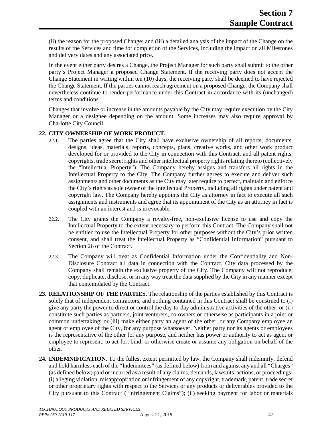(ii) the reason for the proposed Change; and (iii) a detailed analysis of the impact of the Change on the results of the Services and time for completion of the Services, including the impact on all Milestones and delivery dates and any associated price.

In the event either party desires a Change, the Project Manager for such party shall submit to the other party's Project Manager a proposed Change Statement. If the receiving party does not accept the Change Statement in writing within ten (10) days, the receiving party shall be deemed to have rejected the Change Statement. If the parties cannot reach agreement on a proposed Change, the Company shall nevertheless continue to render performance under this Contract in accordance with its (unchanged) terms and conditions.

Changes that involve or increase in the amounts payable by the City may require execution by the City Manager or a designee depending on the amount. Some increases may also require approval by Charlotte City Council.

# **22. CITY OWNERSHIP OF WORK PRODUCT.**

- 22.1. The parties agree that the City shall have exclusive ownership of all reports, documents, designs, ideas, materials, reports, concepts, plans, creative works, and other work product developed for or provided to the City in connection with this Contract, and all patent rights, copyrights, trade secret rights and other intellectual property rights relating thereto (collectively the "Intellectual Property"). The Company hereby assigns and transfers all rights in the Intellectual Property to the City. The Company further agrees to execute and deliver such assignments and other documents as the City may later require to perfect, maintain and enforce the City's rights as sole owner of the Intellectual Property, including all rights under patent and copyright law. The Company hereby appoints the City as attorney in fact to execute all such assignments and instruments and agree that its appointment of the City as an attorney in fact is coupled with an interest and is irrevocable.
- 22.2. The City grants the Company a royalty-free, non-exclusive license to use and copy the Intellectual Property to the extent necessary to perform this Contract. The Company shall not be entitled to use the Intellectual Property for other purposes without the City's prior written consent, and shall treat the Intellectual Property as "Confidential Information" pursuant to Section 26 of the Contract.
- 22.3. The Company will treat as Confidential Information under the Confidentiality and Non-Disclosure Contract all data in connection with the Contract. City data processed by the Company shall remain the exclusive property of the City. The Company will not reproduce, copy, duplicate, disclose, or in any way treat the data supplied by the City in any manner except that contemplated by the Contract.
- **23. RELATIONSHIP OF THE PARTIES.** The relationship of the parties established by this Contract is solely that of independent contractors, and nothing contained in this Contract shall be construed to (i) give any party the power to direct or control the day-to-day administrative activities of the other; or (ii) constitute such parties as partners, joint venturers, co-owners or otherwise as participants in a joint or common undertaking; or (iii) make either party an agent of the other, or any Company employee an agent or employee of the City, for any purpose whatsoever. Neither party nor its agents or employees is the representative of the other for any purpose, and neither has power or authority to act as agent or employee to represent, to act for, bind, or otherwise create or assume any obligation on behalf of the other.
- **24. INDEMNIFICATION.** To the fullest extent permitted by law, the Company shall indemnify, defend and hold harmless each of the "Indemnitees" (as defined below) from and against any and all "Charges" (as defined below) paid or incurred as a result of any claims, demands, lawsuits, actions, or proceedings: (i) alleging violation, misappropriation or infringement of any copyright, trademark, patent, trade secret or other proprietary rights with respect to the Services or any products or deliverables provided to the City pursuant to this Contract ("Infringement Claims"); (ii) seeking payment for labor or materials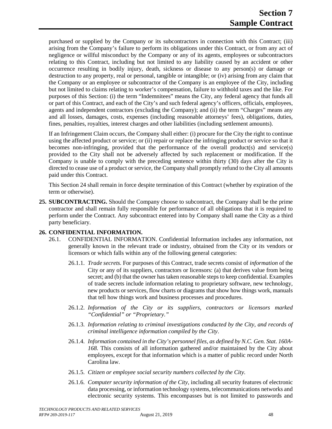purchased or supplied by the Company or its subcontractors in connection with this Contract; (iii) arising from the Company's failure to perform its obligations under this Contract, or from any act of negligence or willful misconduct by the Company or any of its agents, employees or subcontractors relating to this Contract, including but not limited to any liability caused by an accident or other occurrence resulting in bodily injury, death, sickness or disease to any person(s) or damage or destruction to any property, real or personal, tangible or intangible; or (iv) arising from any claim that the Company or an employee or subcontractor of the Company is an employee of the City, including but not limited to claims relating to worker's compensation, failure to withhold taxes and the like. For purposes of this Section: (i) the term "Indemnitees" means the City, any federal agency that funds all or part of this Contract, and each of the City's and such federal agency's officers, officials, employees, agents and independent contractors (excluding the Company); and (ii) the term "Charges" means any and all losses, damages, costs, expenses (including reasonable attorneys' fees), obligations, duties, fines, penalties, royalties, interest charges and other liabilities (including settlement amounts).

If an Infringement Claim occurs, the Company shall either: (i) procure for the City the right to continue using the affected product or service; or (ii) repair or replace the infringing product or service so that it becomes non-infringing, provided that the performance of the overall product(s) and service(s) provided to the City shall not be adversely affected by such replacement or modification. If the Company is unable to comply with the preceding sentence within thirty (30) days after the City is directed to cease use of a product or service, the Company shall promptly refund to the City all amounts paid under this Contract.

This Section 24 shall remain in force despite termination of this Contract (whether by expiration of the term or otherwise).

**25. SUBCONTRACTING.** Should the Company choose to subcontract, the Company shall be the prime contractor and shall remain fully responsible for performance of all obligations that it is required to perform under the Contract. Any subcontract entered into by Company shall name the City as a third party beneficiary.

#### **26. CONFIDENTIAL INFORMATION.**

- 26.1. CONFIDENTIAL INFORMATION. Confidential Information includes any information, not generally known in the relevant trade or industry, obtained from the City or its vendors or licensors or which falls within any of the following general categories:
	- 26.1.1. *Trade secrets.* For purposes of this Contract, trade secrets consist of *information* of the City or any of its suppliers, contractors or licensors: (a) that derives value from being secret; and (b) that the owner has taken reasonable steps to keep confidential. Examples of trade secrets include information relating to proprietary software, new technology, new products or services, flow charts or diagrams that show how things work, manuals that tell how things work and business processes and procedures.
	- 26.1.2. *Information of the City or its suppliers, contractors or licensors marked "Confidential" or "Proprietary."*
	- 26.1.3. *Information relating to criminal investigations conducted by the City, and records of criminal intelligence information compiled by the City*.
	- 26.1.4. *Information contained in the City's personnel files, as defined by N.C. Gen. Stat. 160A-168.* This consists of all information gathered and/or maintained by the City about employees, except for that information which is a matter of public record under North Carolina law.
	- 26.1.5. *Citizen or employee social security numbers collected by the City.*
	- 26.1.6. *Computer security information of the City*, including all security features of electronic data processing, or information technology systems, telecommunications networks and electronic security systems. This encompasses but is not limited to passwords and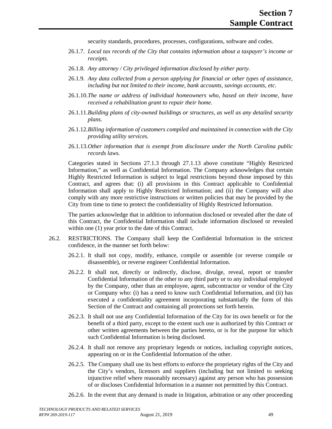security standards, procedures, processes, configurations, software and codes.

- 26.1.7. *Local tax records of the City that contains information about a taxpayer's income or receipts.*
- 26.1.8. *Any attorney / City privileged information disclosed by either party.*
- 26.1.9. *Any data collected from a person applying for financial or other types of assistance, including but not limited to their income, bank accounts, savings accounts, etc.*
- 26.1.10.*The name or address of individual homeowners who, based on their income, have received a rehabilitation grant to repair their home.*
- 26.1.11.*Building plans of city-owned buildings or structures, as well as any detailed security plans.*
- 26.1.12.*Billing information of customers compiled and maintained in connection with the City providing utility services.*
- 26.1.13.*Other information that is exempt from disclosure under the North Carolina public records laws.*

Categories stated in Sections 27.1.3 through 27.1.13 above constitute "Highly Restricted Information," as well as Confidential Information. The Company acknowledges that certain Highly Restricted Information is subject to legal restrictions beyond those imposed by this Contract, and agrees that: (i) all provisions in this Contract applicable to Confidential Information shall apply to Highly Restricted Information; and (ii) the Company will also comply with any more restrictive instructions or written policies that may be provided by the City from time to time to protect the confidentiality of Highly Restricted Information.

The parties acknowledge that in addition to information disclosed or revealed after the date of this Contract, the Confidential Information shall include information disclosed or revealed within one (1) year prior to the date of this Contract.

- 26.2. RESTRICTIONS. The Company shall keep the Confidential Information in the strictest confidence, in the manner set forth below:
	- 26.2.1. It shall not copy, modify, enhance, compile or assemble (or reverse compile or disassemble), or reverse engineer Confidential Information.
	- 26.2.2. It shall not, directly or indirectly, disclose, divulge, reveal, report or transfer Confidential Information of the other to any third party or to any individual employed by the Company, other than an employee, agent, subcontractor or vendor of the City or Company who: (i) has a need to know such Confidential Information, and (ii) has executed a confidentiality agreement incorporating substantially the form of this Section of the Contract and containing all protections set forth herein.
	- 26.2.3. It shall not use any Confidential Information of the City for its own benefit or for the benefit of a third party, except to the extent such use is authorized by this Contract or other written agreements between the parties hereto, or is for the purpose for which such Confidential Information is being disclosed.
	- 26.2.4. It shall not remove any proprietary legends or notices, including copyright notices, appearing on or in the Confidential Information of the other.
	- 26.2.5. The Company shall use its best efforts to enforce the proprietary rights of the City and the City's vendors, licensors and suppliers (including but not limited to seeking injunctive relief where reasonably necessary) against any person who has possession of or discloses Confidential Information in a manner not permitted by this Contract.
	- 26.2.6. In the event that any demand is made in litigation, arbitration or any other proceeding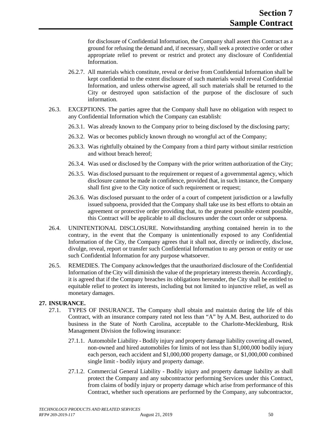for disclosure of Confidential Information, the Company shall assert this Contract as a ground for refusing the demand and, if necessary, shall seek a protective order or other appropriate relief to prevent or restrict and protect any disclosure of Confidential Information.

- 26.2.7. All materials which constitute, reveal or derive from Confidential Information shall be kept confidential to the extent disclosure of such materials would reveal Confidential Information, and unless otherwise agreed, all such materials shall be returned to the City or destroyed upon satisfaction of the purpose of the disclosure of such information.
- 26.3. EXCEPTIONS. The parties agree that the Company shall have no obligation with respect to any Confidential Information which the Company can establish:
	- 26.3.1. Was already known to the Company prior to being disclosed by the disclosing party;
	- 26.3.2. Was or becomes publicly known through no wrongful act of the Company;
	- 26.3.3. Was rightfully obtained by the Company from a third party without similar restriction and without breach hereof;
	- 26.3.4. Was used or disclosed by the Company with the prior written authorization of the City;
	- 26.3.5. Was disclosed pursuant to the requirement or request of a governmental agency, which disclosure cannot be made in confidence, provided that, in such instance, the Company shall first give to the City notice of such requirement or request;
	- 26.3.6. Was disclosed pursuant to the order of a court of competent jurisdiction or a lawfully issued subpoena, provided that the Company shall take use its best efforts to obtain an agreement or protective order providing that, to the greatest possible extent possible, this Contract will be applicable to all disclosures under the court order or subpoena.
- 26.4. UNINTENTIONAL DISCLOSURE. Notwithstanding anything contained herein in to the contrary, in the event that the Company is unintentionally exposed to any Confidential Information of the City, the Company agrees that it shall not, directly or indirectly, disclose, divulge, reveal, report or transfer such Confidential Information to any person or entity or use such Confidential Information for any purpose whatsoever.
- 26.5. REMEDIES. The Company acknowledges that the unauthorized disclosure of the Confidential Information of the City will diminish the value of the proprietary interests therein. Accordingly, it is agreed that if the Company breaches its obligations hereunder, the City shall be entitled to equitable relief to protect its interests, including but not limited to injunctive relief, as well as monetary damages.

# **27. INSURANCE.**

- 27.1. TYPES OF INSURANCE**.** The Company shall obtain and maintain during the life of this Contract, with an insurance company rated not less than "A" by A.M. Best, authorized to do business in the State of North Carolina, acceptable to the Charlotte-Mecklenburg, Risk Management Division the following insurance:
	- 27.1.1. Automobile Liability Bodily injury and property damage liability covering all owned, non-owned and hired automobiles for limits of not less than \$1,000,000 bodily injury each person, each accident and \$1,000,000 property damage, or \$1,000,000 combined single limit - bodily injury and property damage.
	- 27.1.2. Commercial General Liability Bodily injury and property damage liability as shall protect the Company and any subcontractor performing Services under this Contract, from claims of bodily injury or property damage which arise from performance of this Contract, whether such operations are performed by the Company, any subcontractor,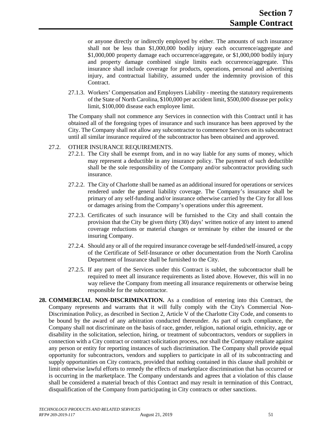or anyone directly or indirectly employed by either. The amounts of such insurance shall not be less than \$1,000,000 bodily injury each occurrence/aggregate and \$1,000,000 property damage each occurrence/aggregate, or \$1,000,000 bodily injury and property damage combined single limits each occurrence/aggregate. This insurance shall include coverage for products, operations, personal and advertising injury, and contractual liability, assumed under the indemnity provision of this Contract.

27.1.3. Workers' Compensation and Employers Liability - meeting the statutory requirements of the State of North Carolina, \$100,000 per accident limit, \$500,000 disease per policy limit, \$100,000 disease each employee limit.

The Company shall not commence any Services in connection with this Contract until it has obtained all of the foregoing types of insurance and such insurance has been approved by the City. The Company shall not allow any subcontractor to commence Services on its subcontract until all similar insurance required of the subcontractor has been obtained and approved.

#### 27.2. OTHER INSURANCE REQUIREMENTS.

- 27.2.1. The City shall be exempt from, and in no way liable for any sums of money, which may represent a deductible in any insurance policy. The payment of such deductible shall be the sole responsibility of the Company and/or subcontractor providing such insurance.
- 27.2.2. The City of Charlotte shall be named as an additional insured for operations or services rendered under the general liability coverage. The Company's insurance shall be primary of any self-funding and/or insurance otherwise carried by the City for all loss or damages arising from the Company's operations under this agreement.
- 27.2.3. Certificates of such insurance will be furnished to the City and shall contain the provision that the City be given thirty (30) days' written notice of any intent to amend coverage reductions or material changes or terminate by either the insured or the insuring Company.
- 27.2.4. Should any or all of the required insurance coverage be self-funded/self-insured, a copy of the Certificate of Self-Insurance or other documentation from the North Carolina Department of Insurance shall be furnished to the City.
- 27.2.5. If any part of the Services under this Contract is sublet, the subcontractor shall be required to meet all insurance requirements as listed above. However, this will in no way relieve the Company from meeting all insurance requirements or otherwise being responsible for the subcontractor.
- **28. COMMERCIAL NON-DISCRIMINATION.** As a condition of entering into this Contract, the Company represents and warrants that it will fully comply with the City's Commercial Non-Discrimination Policy, as described in Section 2, Article V of the Charlotte City Code, and consents to be bound by the award of any arbitration conducted thereunder. As part of such compliance, the Company shall not discriminate on the basis of race, gender, religion, national origin, ethnicity, age or disability in the solicitation, selection, hiring, or treatment of subcontractors, vendors or suppliers in connection with a City contract or contract solicitation process, nor shall the Company retaliate against any person or entity for reporting instances of such discrimination. The Company shall provide equal opportunity for subcontractors, vendors and suppliers to participate in all of its subcontracting and supply opportunities on City contracts, provided that nothing contained in this clause shall prohibit or limit otherwise lawful efforts to remedy the effects of marketplace discrimination that has occurred or is occurring in the marketplace. The Company understands and agrees that a violation of this clause shall be considered a material breach of this Contract and may result in termination of this Contract, disqualification of the Company from participating in City contracts or other sanctions.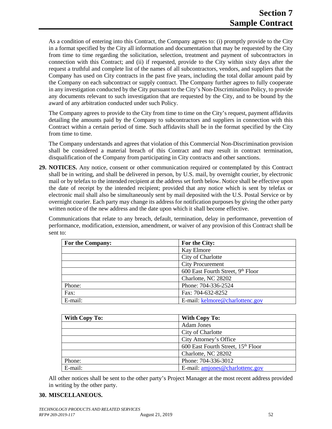As a condition of entering into this Contract, the Company agrees to: (i) promptly provide to the City in a format specified by the City all information and documentation that may be requested by the City from time to time regarding the solicitation, selection, treatment and payment of subcontractors in connection with this Contract; and (ii) if requested, provide to the City within sixty days after the request a truthful and complete list of the names of all subcontractors, vendors, and suppliers that the Company has used on City contracts in the past five years, including the total dollar amount paid by the Company on each subcontract or supply contract. The Company further agrees to fully cooperate in any investigation conducted by the City pursuant to the City's Non-Discrimination Policy, to provide any documents relevant to such investigation that are requested by the City, and to be bound by the award of any arbitration conducted under such Policy.

The Company agrees to provide to the City from time to time on the City's request, payment affidavits detailing the amounts paid by the Company to subcontractors and suppliers in connection with this Contract within a certain period of time. Such affidavits shall be in the format specified by the City from time to time.

The Company understands and agrees that violation of this Commercial Non-Discrimination provision shall be considered a material breach of this Contract and may result in contract termination, disqualification of the Company from participating in City contracts and other sanctions.

**29. NOTICES.** Any notice, consent or other communication required or contemplated by this Contract shall be in writing, and shall be delivered in person, by U.S. mail, by overnight courier, by electronic mail or by telefax to the intended recipient at the address set forth below. Notice shall be effective upon the date of receipt by the intended recipient; provided that any notice which is sent by telefax or electronic mail shall also be simultaneously sent by mail deposited with the U.S. Postal Service or by overnight courier. Each party may change its address for notification purposes by giving the other party written notice of the new address and the date upon which it shall become effective.

Communications that relate to any breach, default, termination, delay in performance, prevention of performance, modification, extension, amendment, or waiver of any provision of this Contract shall be sent to:

| For the Company: | For the City:                     |
|------------------|-----------------------------------|
|                  | Kay Elmore                        |
|                  | City of Charlotte                 |
|                  | <b>City Procurement</b>           |
|                  | 600 East Fourth Street, 9th Floor |
|                  | Charlotte, NC 28202               |
| Phone:           | Phone: 704-336-2524               |
| Fax:             | Fax: 704-632-8252                 |
| E-mail:          | E-mail: kelmore@charlottenc.gov   |

| With Copy To: | <b>With Copy To:</b>                           |  |
|---------------|------------------------------------------------|--|
|               | <b>Adam Jones</b>                              |  |
|               | City of Charlotte                              |  |
|               | City Attorney's Office                         |  |
|               | 600 East Fourth Street, 15 <sup>th</sup> Floor |  |
|               | Charlotte, NC 28202                            |  |
| Phone:        | Phone: 704-336-3012                            |  |
| E-mail:       | E-mail: amjones@charlottenc.gov                |  |

All other notices shall be sent to the other party's Project Manager at the most recent address provided in writing by the other party.

# **30. MISCELLANEOUS.**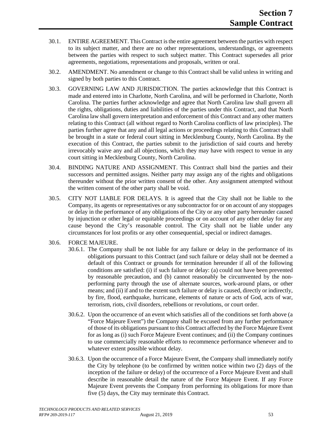- 30.1. ENTIRE AGREEMENT. This Contract is the entire agreement between the parties with respect to its subject matter, and there are no other representations, understandings, or agreements between the parties with respect to such subject matter. This Contract supersedes all prior agreements, negotiations, representations and proposals, written or oral.
- 30.2. AMENDMENT. No amendment or change to this Contract shall be valid unless in writing and signed by both parties to this Contract.
- 30.3. GOVERNING LAW AND JURISDICTION. The parties acknowledge that this Contract is made and entered into in Charlotte, North Carolina, and will be performed in Charlotte, North Carolina. The parties further acknowledge and agree that North Carolina law shall govern all the rights, obligations, duties and liabilities of the parties under this Contract, and that North Carolina law shall govern interpretation and enforcement of this Contract and any other matters relating to this Contract (all without regard to North Carolina conflicts of law principles). The parties further agree that any and all legal actions or proceedings relating to this Contract shall be brought in a state or federal court sitting in Mecklenburg County, North Carolina. By the execution of this Contract, the parties submit to the jurisdiction of said courts and hereby irrevocably waive any and all objections, which they may have with respect to venue in any court sitting in Mecklenburg County, North Carolina.
- 30.4. BINDING NATURE AND ASSIGNMENT. This Contract shall bind the parties and their successors and permitted assigns. Neither party may assign any of the rights and obligations thereunder without the prior written consent of the other. Any assignment attempted without the written consent of the other party shall be void.
- 30.5. CITY NOT LIABLE FOR DELAYS. It is agreed that the City shall not be liable to the Company, its agents or representatives or any subcontractor for or on account of any stoppages or delay in the performance of any obligations of the City or any other party hereunder caused by injunction or other legal or equitable proceedings or on account of any other delay for any cause beyond the City's reasonable control. The City shall not be liable under any circumstances for lost profits or any other consequential, special or indirect damages.
- 30.6. FORCE MAJEURE.
	- 30.6.1. The Company shall be not liable for any failure or delay in the performance of its obligations pursuant to this Contract (and such failure or delay shall not be deemed a default of this Contract or grounds for termination hereunder if all of the following conditions are satisfied: (i) if such failure or delay: (a) could not have been prevented by reasonable precaution, and (b) cannot reasonably be circumvented by the nonperforming party through the use of alternate sources, work-around plans, or other means; and (ii) if and to the extent such failure or delay is caused, directly or indirectly, by fire, flood, earthquake, hurricane, elements of nature or acts of God, acts of war, terrorism, riots, civil disorders, rebellions or revolutions, or court order.
	- 30.6.2. Upon the occurrence of an event which satisfies all of the conditions set forth above (a "Force Majeure Event") the Company shall be excused from any further performance of those of its obligations pursuant to this Contract affected by the Force Majeure Event for as long as (i) such Force Majeure Event continues; and (ii) the Company continues to use commercially reasonable efforts to recommence performance whenever and to whatever extent possible without delay.
	- 30.6.3. Upon the occurrence of a Force Majeure Event, the Company shall immediately notify the City by telephone (to be confirmed by written notice within two (2) days of the inception of the failure or delay) of the occurrence of a Force Majeure Event and shall describe in reasonable detail the nature of the Force Majeure Event. If any Force Majeure Event prevents the Company from performing its obligations for more than five (5) days, the City may terminate this Contract.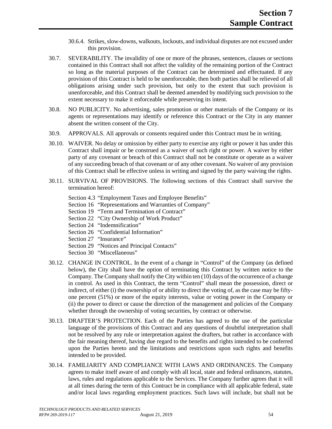- 30.6.4. Strikes, slow-downs, walkouts, lockouts, and individual disputes are not excused under this provision.
- 30.7. SEVERABILITY. The invalidity of one or more of the phrases, sentences, clauses or sections contained in this Contract shall not affect the validity of the remaining portion of the Contract so long as the material purposes of the Contract can be determined and effectuated. If any provision of this Contract is held to be unenforceable, then both parties shall be relieved of all obligations arising under such provision, but only to the extent that such provision is unenforceable, and this Contract shall be deemed amended by modifying such provision to the extent necessary to make it enforceable while preserving its intent.
- 30.8. NO PUBLICITY. No advertising, sales promotion or other materials of the Company or its agents or representations may identify or reference this Contract or the City in any manner absent the written consent of the City.
- 30.9. APPROVALS. All approvals or consents required under this Contract must be in writing.
- 30.10. WAIVER. No delay or omission by either party to exercise any right or power it has under this Contract shall impair or be construed as a waiver of such right or power. A waiver by either party of any covenant or breach of this Contract shall not be constitute or operate as a waiver of any succeeding breach of that covenant or of any other covenant. No waiver of any provision of this Contract shall be effective unless in writing and signed by the party waiving the rights.
- 30.11. SURVIVAL OF PROVISIONS. The following sections of this Contract shall survive the termination hereof:
	- Section 4.3 "Employment Taxes and Employee Benefits"
	- Section 16 "Representations and Warranties of Company"
	- Section 19 "Term and Termination of Contract"
	- Section 22 "City Ownership of Work Product"
	- Section 24 "Indemnification"
	- Section 26 "Confidential Information"
	- Section 27 "Insurance"
	- Section 29 "Notices and Principal Contacts"
	- Section 30 "Miscellaneous"
- 30.12. CHANGE IN CONTROL. In the event of a change in "Control" of the Company (as defined below), the City shall have the option of terminating this Contract by written notice to the Company. The Company shall notify the City within ten (10) days of the occurrence of a change in control. As used in this Contract, the term "Control" shall mean the possession, direct or indirect, of either (i) the ownership of or ability to direct the voting of, as the case may be fiftyone percent (51%) or more of the equity interests, value or voting power in the Company or (ii) the power to direct or cause the direction of the management and policies of the Company whether through the ownership of voting securities, by contract or otherwise.
- 30.13. DRAFTER'S PROTECTION. Each of the Parties has agreed to the use of the particular language of the provisions of this Contract and any questions of doubtful interpretation shall not be resolved by any rule or interpretation against the drafters, but rather in accordance with the fair meaning thereof, having due regard to the benefits and rights intended to be conferred upon the Parties hereto and the limitations and restrictions upon such rights and benefits intended to be provided.
- 30.14. FAMILIARITY AND COMPLIANCE WITH LAWS AND ORDINANCES. The Company agrees to make itself aware of and comply with all local, state and federal ordinances, statutes, laws, rules and regulations applicable to the Services. The Company further agrees that it will at all times during the term of this Contract be in compliance with all applicable federal, state and/or local laws regarding employment practices. Such laws will include, but shall not be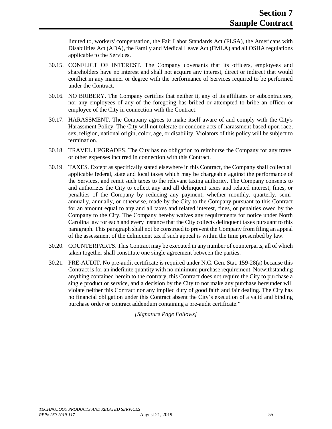limited to, workers' compensation, the Fair Labor Standards Act (FLSA), the Americans with Disabilities Act (ADA), the Family and Medical Leave Act (FMLA) and all OSHA regulations applicable to the Services.

- 30.15. CONFLICT OF INTEREST. The Company covenants that its officers, employees and shareholders have no interest and shall not acquire any interest, direct or indirect that would conflict in any manner or degree with the performance of Services required to be performed under the Contract.
- 30.16. NO BRIBERY. The Company certifies that neither it, any of its affiliates or subcontractors, nor any employees of any of the foregoing has bribed or attempted to bribe an officer or employee of the City in connection with the Contract.
- 30.17. HARASSMENT. The Company agrees to make itself aware of and comply with the City's Harassment Policy. The City will not tolerate or condone acts of harassment based upon race, sex, religion, national origin, color, age, or disability. Violators of this policy will be subject to termination.
- 30.18. TRAVEL UPGRADES. The City has no obligation to reimburse the Company for any travel or other expenses incurred in connection with this Contract.
- 30.19. TAXES. Except as specifically stated elsewhere in this Contract, the Company shall collect all applicable federal, state and local taxes which may be chargeable against the performance of the Services, and remit such taxes to the relevant taxing authority. The Company consents to and authorizes the City to collect any and all delinquent taxes and related interest, fines, or penalties of the Company by reducing any payment, whether monthly, quarterly, semiannually, annually, or otherwise, made by the City to the Company pursuant to this Contract for an amount equal to any and all taxes and related interest, fines, or penalties owed by the Company to the City. The Company hereby waives any requirements for notice under North Carolina law for each and every instance that the City collects delinquent taxes pursuant to this paragraph. This paragraph shall not be construed to prevent the Company from filing an appeal of the assessment of the delinquent tax if such appeal is within the time prescribed by law.
- 30.20. COUNTERPARTS. This Contract may be executed in any number of counterparts, all of which taken together shall constitute one single agreement between the parties.
- 30.21. PRE-AUDIT. No pre-audit certificate is required under N.C. Gen. Stat. 159-28(a) because this Contract is for an indefinite quantity with no minimum purchase requirement. Notwithstanding anything contained herein to the contrary, this Contract does not require the City to purchase a single product or service, and a decision by the City to not make any purchase hereunder will violate neither this Contract nor any implied duty of good faith and fair dealing. The City has no financial obligation under this Contract absent the City's execution of a valid and binding purchase order or contract addendum containing a pre-audit certificate."

*[Signature Page Follows]*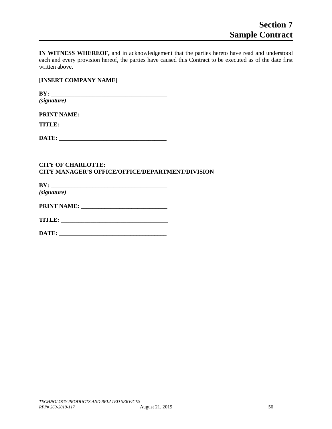**IN WITNESS WHEREOF,** and in acknowledgement that the parties hereto have read and understood each and every provision hereof, the parties have caused this Contract to be executed as of the date first written above.

#### **[INSERT COMPANY NAME]**

**BY: \_\_\_\_\_\_\_\_\_\_\_\_\_\_\_\_\_\_\_\_\_\_\_\_\_\_\_\_\_\_\_\_\_\_\_\_\_\_\_** *(signature)*

| <b>PRINT NAME:</b> |
|--------------------|
|--------------------|

| m<br>. |  |
|--------|--|
|        |  |
|        |  |

**DATE: \_\_\_\_\_\_\_\_\_\_\_\_\_\_\_\_\_\_\_\_\_\_\_\_\_\_\_\_\_\_\_\_\_\_\_\_**

### **CITY OF CHARLOTTE: CITY MANAGER'S OFFICE/OFFICE/DEPARTMENT/DIVISION**

**BY: \_\_\_\_\_\_\_\_\_\_\_\_\_\_\_\_\_\_\_\_\_\_\_\_\_\_\_\_\_\_\_\_\_\_\_\_\_\_\_** *(signature)*

**PRINT NAME: \_\_\_\_\_\_\_\_\_\_\_\_\_\_\_\_\_\_\_\_\_\_\_\_\_\_\_\_\_**

**TITLE: \_\_\_\_\_\_\_\_\_\_\_\_\_\_\_\_\_\_\_\_\_\_\_\_\_\_\_\_\_\_\_\_\_\_\_\_**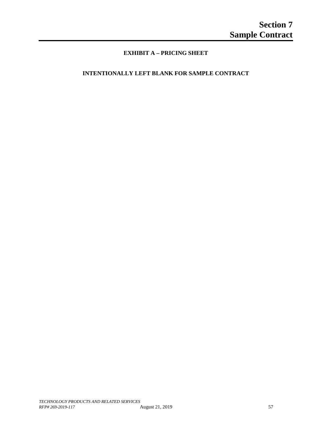# **EXHIBIT A – PRICING SHEET**

# **INTENTIONALLY LEFT BLANK FOR SAMPLE CONTRACT**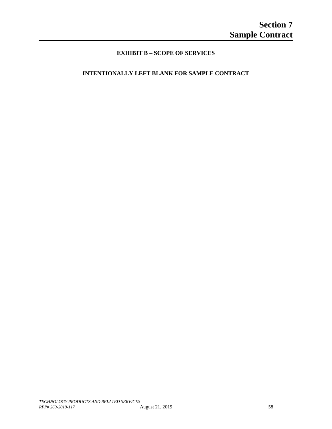# **EXHIBIT B – SCOPE OF SERVICES**

# **INTENTIONALLY LEFT BLANK FOR SAMPLE CONTRACT**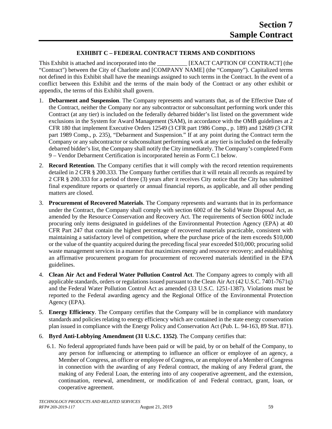### **EXHIBIT C – FEDERAL CONTRACT TERMS AND CONDITIONS**

This Exhibit is attached and incorporated into the **IEXACT CAPTION OF CONTRACT** (the "Contract") between the City of Charlotte and [COMPANY NAME] (the "Company"). Capitalized terms not defined in this Exhibit shall have the meanings assigned to such terms in the Contract. In the event of a conflict between this Exhibit and the terms of the main body of the Contract or any other exhibit or appendix, the terms of this Exhibit shall govern.

- 1. **Debarment and Suspension**. The Company represents and warrants that, as of the Effective Date of the Contract, neither the Company nor any subcontractor or subconsultant performing work under this Contract (at any tier) is included on the federally debarred bidder's list listed on the government wide exclusions in the System for Award Management (SAM), in accordance with the OMB guidelines at 2 CFR 180 that implement Executive Orders 12549 (3 CFR part 1986 Comp., p. 189) and 12689 (3 CFR part 1989 Comp., p. 235), "Debarment and Suspension." If at any point during the Contract term the Company or any subcontractor or subconsultant performing work at any tier is included on the federally debarred bidder's list, the Company shall notify the City immediately. The Company's completed Form 9 – Vendor Debarment Certification is incorporated herein as Form C.1 below.
- 2. **Record Retention**. The Company certifies that it will comply with the record retention requirements detailed in 2 CFR § 200.333. The Company further certifies that it will retain all records as required by 2 CFR § 200.333 for a period of three (3) years after it receives City notice that the City has submitted final expenditure reports or quarterly or annual financial reports, as applicable, and all other pending matters are closed.
- 3. **Procurement of Recovered Materials**. The Company represents and warrants that in its performance under the Contract, the Company shall comply with section 6002 of the Solid Waste Disposal Act, as amended by the Resource Conservation and Recovery Act. The requirements of Section 6002 include procuring only items designated in guidelines of the Environmental Protection Agency (EPA) at 40 CFR Part 247 that contain the highest percentage of recovered materials practicable, consistent with maintaining a satisfactory level of competition, where the purchase price of the item exceeds \$10,000 or the value of the quantity acquired during the preceding fiscal year exceeded \$10,000; procuring solid waste management services in a manner that maximizes energy and resource recovery; and establishing an affirmative procurement program for procurement of recovered materials identified in the EPA guidelines.
- 4. **Clean Air Act and Federal Water Pollution Control Act**. The Company agrees to comply with all applicable standards, orders or regulations issued pursuant to the Clean Air Act (42 U.S.C. 7401-7671q) and the Federal Water Pollution Control Act as amended (33 U.S.C. 1251-1387). Violations must be reported to the Federal awarding agency and the Regional Office of the Environmental Protection Agency (EPA).
- 5. **Energy Efficiency**. The Company certifies that the Company will be in compliance with mandatory standards and policies relating to energy efficiency which are contained in the state energy conservation plan issued in compliance with the Energy Policy and Conservation Act (Pub. L. 94-163, 89 Stat. 871).
- 6. **Byrd Anti-Lobbying Amendment (31 U.S.C. 1352)**. The Company certifies that:
	- 6.1. No federal appropriated funds have been paid or will be paid, by or on behalf of the Company, to any person for influencing or attempting to influence an officer or employee of an agency, a Member of Congress, an officer or employee of Congress, or an employee of a Member of Congress in connection with the awarding of any Federal contract, the making of any Federal grant, the making of any Federal Loan, the entering into of any cooperative agreement, and the extension, continuation, renewal, amendment, or modification of and Federal contract, grant, loan, or cooperative agreement.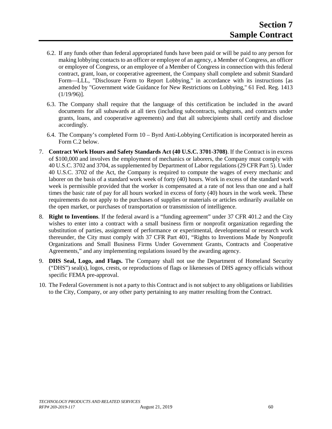- 6.2. If any funds other than federal appropriated funds have been paid or will be paid to any person for making lobbying contacts to an officer or employee of an agency, a Member of Congress, an officer or employee of Congress, or an employee of a Member of Congress in connection with this federal contract, grant, loan, or cooperative agreement, the Company shall complete and submit Standard Form—LLL, "Disclosure Form to Report Lobbying," in accordance with its instructions [as amended by "Government wide Guidance for New Restrictions on Lobbying," 61 Fed. Reg. 1413  $(1/19/96)$ ].
- 6.3. The Company shall require that the language of this certification be included in the award documents for all subawards at all tiers (including subcontracts, subgrants, and contracts under grants, loans, and cooperative agreements) and that all subrecipients shall certify and disclose accordingly.
- 6.4. The Company's completed Form 10 Byrd Anti-Lobbying Certification is incorporated herein as Form C.2 below.
- 7. **Contract Work Hours and Safety Standards Act (40 U.S.C. 3701-3708)**. If the Contract is in excess of \$100,000 and involves the employment of mechanics or laborers, the Company must comply with 40 U.S.C. 3702 and 3704, as supplemented by Department of Labor regulations (29 CFR Part 5). Under 40 U.S.C. 3702 of the Act, the Company is required to compute the wages of every mechanic and laborer on the basis of a standard work week of forty (40) hours. Work in excess of the standard work week is permissible provided that the worker is compensated at a rate of not less than one and a half times the basic rate of pay for all hours worked in excess of forty (40) hours in the work week. These requirements do not apply to the purchases of supplies or materials or articles ordinarily available on the open market, or purchases of transportation or transmission of intelligence.
- 8. **Right to Inventions**. If the federal award is a "funding agreement" under 37 CFR 401.2 and the City wishes to enter into a contract with a small business firm or nonprofit organization regarding the substitution of parties, assignment of performance or experimental, developmental or research work thereunder, the City must comply with 37 CFR Part 401, "Rights to Inventions Made by Nonprofit Organizations and Small Business Firms Under Government Grants, Contracts and Cooperative Agreements," and any implementing regulations issued by the awarding agency.
- 9. **DHS Seal, Logo, and Flags.** The Company shall not use the Department of Homeland Security ("DHS") seal(s), logos, crests, or reproductions of flags or likenesses of DHS agency officials without specific FEMA pre-approval.
- 10. The Federal Government is not a party to this Contract and is not subject to any obligations or liabilities to the City, Company, or any other party pertaining to any matter resulting from the Contract.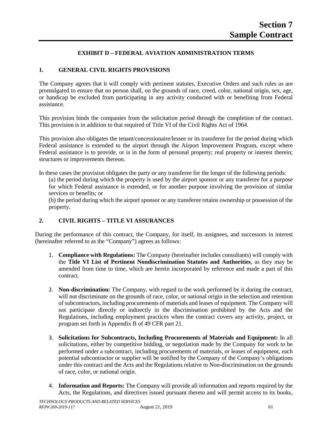## **EXHIBIT D – FEDERAL AVIATION ADMINISTRATION TERMS**

#### **1. GENERAL CIVIL RIGHTS PROVISIONS**

The Company agrees that it will comply with pertinent statutes, Executive Orders and such rules as are promulgated to ensure that no person shall, on the grounds of race, creed, color, national origin, sex, age, or handicap be excluded from participating in any activity conducted with or benefiting from Federal assistance.

This provision binds the companies from the solicitation period through the completion of the contract. This provision is in addition to that required of Title VI of the Civil Rights Act of 1964.

This provision also obligates the tenant/concessionaire/lessee or its transferee for the period during which Federal assistance is extended to the airport through the Airport Improvement Program, except where Federal assistance is to provide, or is in the form of personal property; real property or interest therein; structures or improvements thereon.

In these cases the provision obligates the party or any transferee for the longer of the following periods:

(a) the period during which the property is used by the airport sponsor or any transferee for a purpose for which Federal assistance is extended, or for another purpose involving the provision of similar services or benefits; or

(b) the period during which the airport sponsor or any transferee retains ownership or possession of the property.

# **2. CIVIL RIGHTS – TITLE VI ASSURANCES**

During the performance of this contract, the Company, for itself, its assignees, and successors in interest (hereinafter referred to as the "Company") agrees as follows:

- 1. **Compliance with Regulations:** The Company (hereinafter includes consultants) will comply with the **Title VI List of Pertinent Nondiscrimination Statutes and Authorities**, as they may be amended from time to time, which are herein incorporated by reference and made a part of this contract.
- 2. **Non-discrimination:** The Company, with regard to the work performed by it during the contract, will not discriminate on the grounds of race, color, or national origin in the selection and retention of subcontractors, including procurements of materials and leases of equipment. The Company will not participate directly or indirectly in the discrimination prohibited by the Acts and the Regulations, including employment practices when the contract covers any activity, project, or program set forth in Appendix B of 49 CFR part 21.
- 3. **Solicitations for Subcontracts, Including Procurements of Materials and Equipment:** In all solicitations, either by competitive bidding, or negotiation made by the Company for work to be performed under a subcontract, including procurements of materials, or leases of equipment, each potential subcontractor or supplier will be notified by the Company of the Company's obligations under this contract and the Acts and the Regulations relative to Non-discrimination on the grounds of race, color, or national origin.
- 4. **Information and Reports:** The Company will provide all information and reports required by the Acts, the Regulations, and directives issued pursuant thereto and will permit access to its books,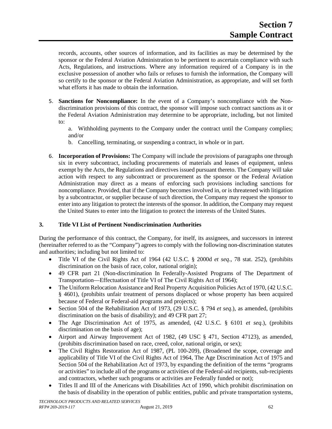records, accounts, other sources of information, and its facilities as may be determined by the sponsor or the Federal Aviation Administration to be pertinent to ascertain compliance with such Acts, Regulations, and instructions. Where any information required of a Company is in the exclusive possession of another who fails or refuses to furnish the information, the Company will so certify to the sponsor or the Federal Aviation Administration, as appropriate, and will set forth what efforts it has made to obtain the information.

- 5. **Sanctions for Noncompliance:** In the event of a Company's noncompliance with the Nondiscrimination provisions of this contract, the sponsor will impose such contract sanctions as it or the Federal Aviation Administration may determine to be appropriate, including, but not limited to:
	- a. Withholding payments to the Company under the contract until the Company complies; and/or
	- b. Cancelling, terminating, or suspending a contract, in whole or in part.
- 6. **Incorporation of Provisions:** The Company will include the provisions of paragraphs one through six in every subcontract, including procurements of materials and leases of equipment, unless exempt by the Acts, the Regulations and directives issued pursuant thereto. The Company will take action with respect to any subcontract or procurement as the sponsor or the Federal Aviation Administration may direct as a means of enforcing such provisions including sanctions for noncompliance. Provided, that if the Company becomes involved in, or is threatened with litigation by a subcontractor, or supplier because of such direction, the Company may request the sponsor to enter into any litigation to protect the interests of the sponsor. In addition, the Company may request the United States to enter into the litigation to protect the interests of the United States.

# **3. Title VI List of Pertinent Nondiscrimination Authorities**

During the performance of this contract, the Company, for itself, its assignees, and successors in interest (hereinafter referred to as the "Company") agrees to comply with the following non-discrimination statutes and authorities; including but not limited to:

- Title VI of the Civil Rights Act of 1964 (42 U.S.C. § 2000d *et seq*., 78 stat. 252), (prohibits discrimination on the basis of race, color, national origin);
- 49 CFR part 21 (Non-discrimination In Federally-Assisted Programs of The Department of Transportation—Effectuation of Title VI of The Civil Rights Act of 1964);
- The Uniform Relocation Assistance and Real Property Acquisition Policies Act of 1970, (42 U.S.C. § 4601), (prohibits unfair treatment of persons displaced or whose property has been acquired because of Federal or Federal-aid programs and projects);
- Section 504 of the Rehabilitation Act of 1973, (29 U.S.C. § 794 *et seq*.), as amended, (prohibits discrimination on the basis of disability); and 49 CFR part 27;
- The Age Discrimination Act of 1975, as amended, (42 U.S.C. § 6101 *et seq*.), (prohibits discrimination on the basis of age);
- Airport and Airway Improvement Act of 1982, (49 USC § 471, Section 47123), as amended, (prohibits discrimination based on race, creed, color, national origin, or sex);
- The Civil Rights Restoration Act of 1987, (PL 100-209), (Broadened the scope, coverage and applicability of Title VI of the Civil Rights Act of 1964, The Age Discrimination Act of 1975 and Section 504 of the Rehabilitation Act of 1973, by expanding the definition of the terms "programs or activities" to include all of the programs or activities of the Federal-aid recipients, sub-recipients and contractors, whether such programs or activities are Federally funded or not);
- Titles II and III of the Americans with Disabilities Act of 1990, which prohibit discrimination on the basis of disability in the operation of public entities, public and private transportation systems,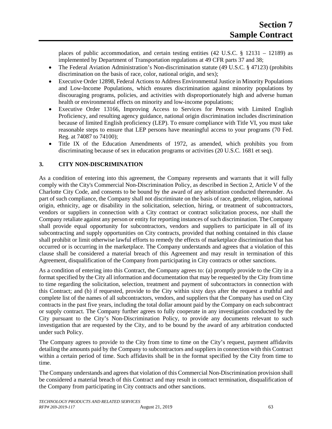places of public accommodation, and certain testing entities  $(42 \text{ U.S.C.} \text{ § } 12131 - 12189)$  as implemented by Department of Transportation regulations at 49 CFR parts 37 and 38;

- The Federal Aviation Administration's Non-discrimination statute (49 U.S.C. § 47123) (prohibits discrimination on the basis of race, color, national origin, and sex);
- Executive Order 12898, Federal Actions to Address Environmental Justice in Minority Populations and Low-Income Populations, which ensures discrimination against minority populations by discouraging programs, policies, and activities with disproportionately high and adverse human health or environmental effects on minority and low-income populations;
- Executive Order 13166, Improving Access to Services for Persons with Limited English Proficiency, and resulting agency guidance, national origin discrimination includes discrimination because of limited English proficiency (LEP). To ensure compliance with Title VI, you must take reasonable steps to ensure that LEP persons have meaningful access to your programs (70 Fed. Reg. at 74087 to 74100);
- Title IX of the Education Amendments of 1972, as amended, which prohibits you from discriminating because of sex in education programs or activities (20 U.S.C. 1681 et seq).

### **3. CITY NON-DISCRIMINATION**

As a condition of entering into this agreement, the Company represents and warrants that it will fully comply with the City's Commercial Non-Discrimination Policy, as described in Section 2, Article V of the Charlotte City Code, and consents to be bound by the award of any arbitration conducted thereunder. As part of such compliance, the Company shall not discriminate on the basis of race, gender, religion, national origin, ethnicity, age or disability in the solicitation, selection, hiring, or treatment of subcontractors, vendors or suppliers in connection with a City contract or contract solicitation process, nor shall the Company retaliate against any person or entity for reporting instances of such discrimination. The Company shall provide equal opportunity for subcontractors, vendors and suppliers to participate in all of its subcontracting and supply opportunities on City contracts, provided that nothing contained in this clause shall prohibit or limit otherwise lawful efforts to remedy the effects of marketplace discrimination that has occurred or is occurring in the marketplace. The Company understands and agrees that a violation of this clause shall be considered a material breach of this Agreement and may result in termination of this Agreement, disqualification of the Company from participating in City contracts or other sanctions.

As a condition of entering into this Contract, the Company agrees to: (a) promptly provide to the City in a format specified by the City all information and documentation that may be requested by the City from time to time regarding the solicitation, selection, treatment and payment of subcontractors in connection with this Contract; and (b) if requested, provide to the City within sixty days after the request a truthful and complete list of the names of all subcontractors, vendors, and suppliers that the Company has used on City contracts in the past five years, including the total dollar amount paid by the Company on each subcontract or supply contract. The Company further agrees to fully cooperate in any investigation conducted by the City pursuant to the City's Non-Discrimination Policy, to provide any documents relevant to such investigation that are requested by the City, and to be bound by the award of any arbitration conducted under such Policy.

The Company agrees to provide to the City from time to time on the City's request, payment affidavits detailing the amounts paid by the Company to subcontractors and suppliers in connection with this Contract within a certain period of time. Such affidavits shall be in the format specified by the City from time to time.

The Company understands and agrees that violation of this Commercial Non-Discrimination provision shall be considered a material breach of this Contract and may result in contract termination, disqualification of the Company from participating in City contracts and other sanctions.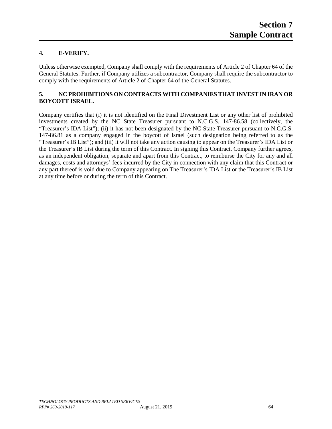# **4. E-VERIFY.**

Unless otherwise exempted, Company shall comply with the requirements of Article 2 of Chapter 64 of the General Statutes. Further, if Company utilizes a subcontractor, Company shall require the subcontractor to comply with the requirements of Article 2 of Chapter 64 of the General Statutes.

# **5. NC PROHIBITIONS ON CONTRACTS WITH COMPANIES THAT INVEST IN IRAN OR BOYCOTT ISRAEL.**

Company certifies that (i) it is not identified on the Final Divestment List or any other list of prohibited investments created by the NC State Treasurer pursuant to N.C.G.S. 147-86.58 (collectively, the "Treasurer's IDA List"); (ii) it has not been designated by the NC State Treasurer pursuant to N.C.G.S. 147-86.81 as a company engaged in the boycott of Israel (such designation being referred to as the "Treasurer's IB List"); and (iii) it will not take any action causing to appear on the Treasurer's IDA List or the Treasurer's IB List during the term of this Contract. In signing this Contract, Company further agrees, as an independent obligation, separate and apart from this Contract, to reimburse the City for any and all damages, costs and attorneys' fees incurred by the City in connection with any claim that this Contract or any part thereof is void due to Company appearing on The Treasurer's IDA List or the Treasurer's IB List at any time before or during the term of this Contract.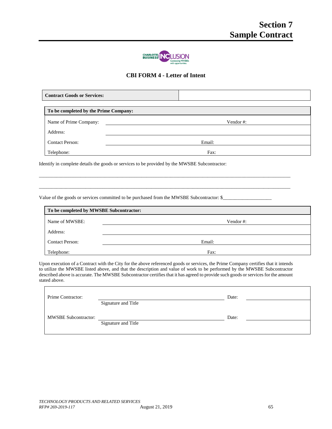

# **CBI FORM 4 - Letter of Intent**

\_\_\_\_\_\_\_\_\_\_\_\_\_\_\_\_\_\_\_\_\_\_\_\_\_\_\_\_\_\_\_\_\_\_\_\_\_\_\_\_\_\_\_\_\_\_\_\_\_\_\_\_\_\_\_\_\_\_\_\_\_\_\_\_\_\_\_\_\_\_\_\_\_\_\_\_\_\_\_\_\_\_\_\_\_\_\_\_\_\_\_\_\_\_\_\_\_\_\_\_\_\_\_

\_\_\_\_\_\_\_\_\_\_\_\_\_\_\_\_\_\_\_\_\_\_\_\_\_\_\_\_\_\_\_\_\_\_\_\_\_\_\_\_\_\_\_\_\_\_\_\_\_\_\_\_\_\_\_\_\_\_\_\_\_\_\_\_\_\_\_\_\_\_\_\_\_\_\_\_\_\_\_\_\_\_\_\_\_\_\_\_\_\_\_\_\_\_\_\_\_\_\_\_\_\_\_

| <b>Contract Goods or Services:</b>    |          |  |
|---------------------------------------|----------|--|
| To be completed by the Prime Company: |          |  |
|                                       |          |  |
| Name of Prime Company:                | Vendor#: |  |
| Address:                              |          |  |
| <b>Contact Person:</b>                | Email:   |  |
| Telephone:                            | Fax:     |  |

Identify in complete details the goods or services to be provided by the MWSBE Subcontractor:

Value of the goods or services committed to be purchased from the MWSBE Subcontractor: \$\_\_\_\_\_\_\_\_\_\_\_\_\_\_\_\_\_\_\_\_\_\_\_

| To be completed by MWSBE Subcontractor: |          |  |  |
|-----------------------------------------|----------|--|--|
| Name of MWSBE:                          | Vendor#: |  |  |
| Address:                                |          |  |  |
| <b>Contact Person:</b>                  | Email:   |  |  |
| Telephone:                              | Fax:     |  |  |

Upon execution of a Contract with the City for the above referenced goods or services, the Prime Company certifies that it intends to utilize the MWSBE listed above, and that the description and value of work to be performed by the MWSBE Subcontractor described above is accurate. The MWSBE Subcontractor certifies that it has agreed to provide such goods or services for the amount stated above.

| Prime Contractor:           |                     | Date: |  |
|-----------------------------|---------------------|-------|--|
| <b>MWSBE Subcontractor:</b> | Signature and Title | Date: |  |
|                             | Signature and Title |       |  |

 $\mathbf{r}$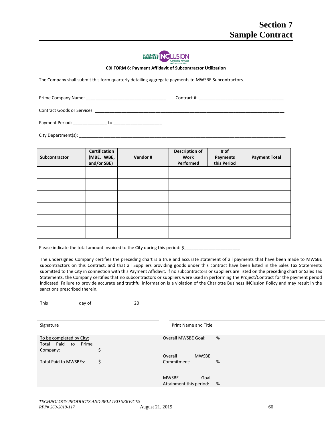

**CBI FORM 6: Payment Affidavit of Subcontractor Utilization**

The Company shall submit this form quarterly detailing aggregate payments to MWSBE Subcontractors.

Prime Company Name: \_\_\_\_\_\_\_\_\_\_\_\_\_\_\_\_\_\_\_\_\_\_\_\_\_\_\_\_\_\_\_\_\_ Contract #: \_\_\_\_\_\_\_\_\_\_\_\_\_\_\_\_\_\_\_\_\_\_\_\_\_\_\_\_\_\_\_\_\_\_\_

Contract Goods or Services: **Example 20** 

Payment Period: \_\_\_\_\_\_\_\_\_\_\_\_\_\_ to \_\_\_\_\_\_\_\_\_\_\_\_\_\_\_\_\_\_\_\_

City Department(s): \_\_\_\_\_\_\_\_\_\_\_\_\_\_\_\_\_\_\_\_\_\_\_\_\_\_\_\_\_\_\_\_\_\_\_\_\_\_\_\_\_\_\_\_\_\_\_\_\_\_\_\_\_\_\_\_\_\_\_\_\_\_\_\_\_\_\_\_\_\_\_\_\_\_\_\_\_\_\_\_\_\_\_\_\_

| Subcontractor | Certification<br>(MBE, WBE,<br>and/or SBE) | Vendor# | <b>Description of</b><br>Work<br>Performed | # of<br>Payments<br>this Period | <b>Payment Total</b> |
|---------------|--------------------------------------------|---------|--------------------------------------------|---------------------------------|----------------------|
|               |                                            |         |                                            |                                 |                      |
|               |                                            |         |                                            |                                 |                      |
|               |                                            |         |                                            |                                 |                      |
|               |                                            |         |                                            |                                 |                      |
|               |                                            |         |                                            |                                 |                      |
|               |                                            |         |                                            |                                 |                      |

| Please indicate the total amount invoiced to the City during this period: \$ |  |
|------------------------------------------------------------------------------|--|
|------------------------------------------------------------------------------|--|

The undersigned Company certifies the preceding chart is a true and accurate statement of all payments that have been made to MWSBE subcontractors on this Contract, and that all Suppliers providing goods under this contract have been listed in the Sales Tax Statements submitted to the City in connection with this Payment Affidavit. If no subcontractors or suppliers are listed on the preceding chart or Sales Tax Statements, the Company certifies that no subcontractors or suppliers were used in performing the Project/Contract for the payment period indicated. Failure to provide accurate and truthful information is a violation of the Charlotte Business INClusion Policy and may result in the sanctions prescribed therein.

| . .                                                               |    |                                                 |   |
|-------------------------------------------------------------------|----|-------------------------------------------------|---|
| Signature                                                         |    | Print Name and Title                            |   |
| To be completed by City:<br>Total Paid<br>Prime<br>to<br>Company: | Ş  | <b>Overall MWSBE Goal:</b>                      | % |
|                                                                   |    | Overall<br><b>MWSBE</b>                         |   |
| <b>Total Paid to MWSBEs:</b>                                      | \$ | Commitment:                                     | % |
|                                                                   |    | <b>MWSBE</b><br>Goal<br>Attainment this period: | % |

This day of 20